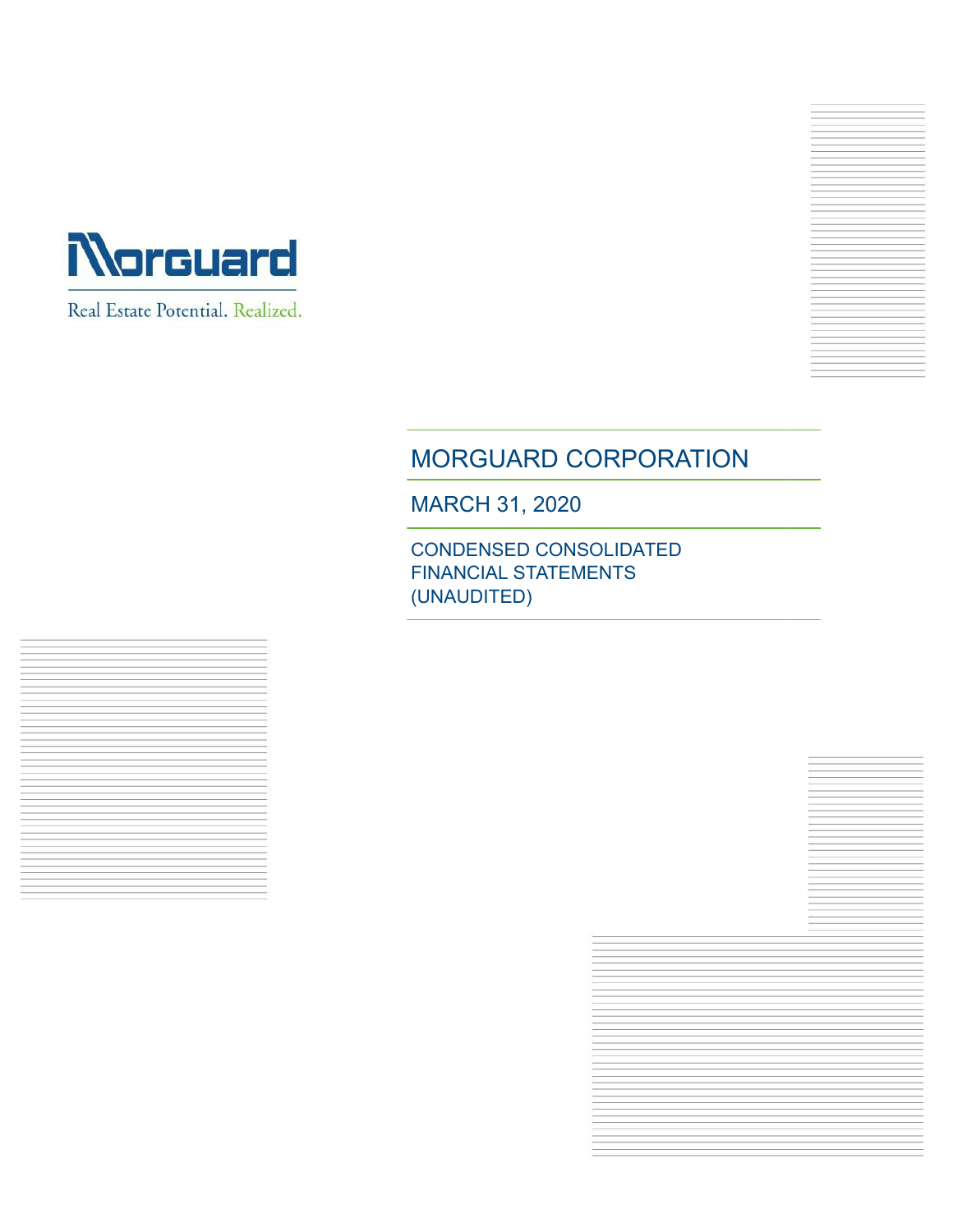



# MORGUARD CORPORATION

MARCH 31, 2020

CONDENSED CONSOLIDATED FINANCIAL STATEMENTS (UNAUDITED)



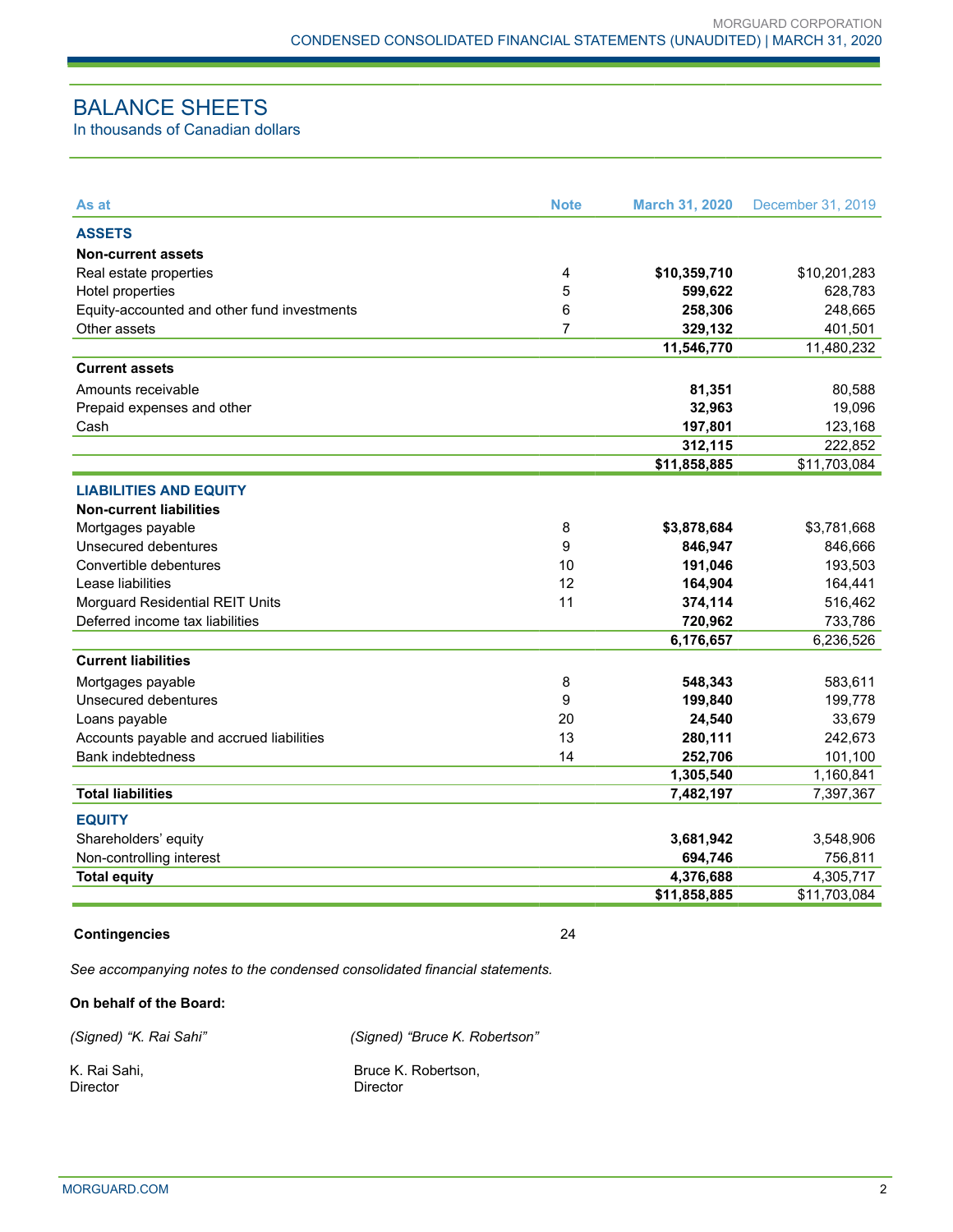# BALANCE SHEETS

In thousands of Canadian dollars

| <b>ASSETS</b><br><b>Non-current assets</b><br>\$10,201,283<br>Real estate properties<br>4<br>\$10,359,710<br>5<br>Hotel properties<br>599,622<br>Equity-accounted and other fund investments<br>6<br>258,306<br>Other assets<br>7<br>329,132<br>401,501<br>11,546,770<br><b>Current assets</b><br>81,351<br>Amounts receivable<br>80,588<br>32,963<br>Prepaid expenses and other<br>Cash<br>197,801<br>312,115<br>\$11,858,885<br><b>LIABILITIES AND EQUITY</b><br><b>Non-current liabilities</b><br>\$3,781,668<br>Mortgages payable<br>8<br>\$3,878,684<br>9<br>Unsecured debentures<br>846,947<br>Convertible debentures<br>10<br>191,046<br>12<br>Lease liabilities<br>164,904<br>164,441<br>11<br>Morguard Residential REIT Units<br>374,114<br>Deferred income tax liabilities<br>720,962<br>6,176,657<br><b>Current liabilities</b><br>Mortgages payable<br>8<br>548,343<br>583,611<br>Unsecured debentures<br>9<br>199,840<br>199,778<br>20<br>33,679<br>Loans payable<br>24,540<br>13<br>280,111<br>242,673<br>Accounts payable and accrued liabilities<br><b>Bank indebtedness</b><br>14<br>252,706<br>101,100<br>1,305,540<br>1,160,841 | As at                    | <b>Note</b> | <b>March 31, 2020</b> | December 31, 2019 |
|----------------------------------------------------------------------------------------------------------------------------------------------------------------------------------------------------------------------------------------------------------------------------------------------------------------------------------------------------------------------------------------------------------------------------------------------------------------------------------------------------------------------------------------------------------------------------------------------------------------------------------------------------------------------------------------------------------------------------------------------------------------------------------------------------------------------------------------------------------------------------------------------------------------------------------------------------------------------------------------------------------------------------------------------------------------------------------------------------------------------------------------------------|--------------------------|-------------|-----------------------|-------------------|
|                                                                                                                                                                                                                                                                                                                                                                                                                                                                                                                                                                                                                                                                                                                                                                                                                                                                                                                                                                                                                                                                                                                                                    |                          |             |                       |                   |
|                                                                                                                                                                                                                                                                                                                                                                                                                                                                                                                                                                                                                                                                                                                                                                                                                                                                                                                                                                                                                                                                                                                                                    |                          |             |                       |                   |
|                                                                                                                                                                                                                                                                                                                                                                                                                                                                                                                                                                                                                                                                                                                                                                                                                                                                                                                                                                                                                                                                                                                                                    |                          |             |                       |                   |
|                                                                                                                                                                                                                                                                                                                                                                                                                                                                                                                                                                                                                                                                                                                                                                                                                                                                                                                                                                                                                                                                                                                                                    |                          |             |                       | 628,783           |
|                                                                                                                                                                                                                                                                                                                                                                                                                                                                                                                                                                                                                                                                                                                                                                                                                                                                                                                                                                                                                                                                                                                                                    |                          |             |                       | 248,665           |
|                                                                                                                                                                                                                                                                                                                                                                                                                                                                                                                                                                                                                                                                                                                                                                                                                                                                                                                                                                                                                                                                                                                                                    |                          |             |                       |                   |
|                                                                                                                                                                                                                                                                                                                                                                                                                                                                                                                                                                                                                                                                                                                                                                                                                                                                                                                                                                                                                                                                                                                                                    |                          |             |                       | 11,480,232        |
|                                                                                                                                                                                                                                                                                                                                                                                                                                                                                                                                                                                                                                                                                                                                                                                                                                                                                                                                                                                                                                                                                                                                                    |                          |             |                       |                   |
|                                                                                                                                                                                                                                                                                                                                                                                                                                                                                                                                                                                                                                                                                                                                                                                                                                                                                                                                                                                                                                                                                                                                                    |                          |             |                       |                   |
|                                                                                                                                                                                                                                                                                                                                                                                                                                                                                                                                                                                                                                                                                                                                                                                                                                                                                                                                                                                                                                                                                                                                                    |                          |             |                       | 19,096            |
|                                                                                                                                                                                                                                                                                                                                                                                                                                                                                                                                                                                                                                                                                                                                                                                                                                                                                                                                                                                                                                                                                                                                                    |                          |             |                       | 123,168           |
|                                                                                                                                                                                                                                                                                                                                                                                                                                                                                                                                                                                                                                                                                                                                                                                                                                                                                                                                                                                                                                                                                                                                                    |                          |             |                       | 222,852           |
|                                                                                                                                                                                                                                                                                                                                                                                                                                                                                                                                                                                                                                                                                                                                                                                                                                                                                                                                                                                                                                                                                                                                                    |                          |             |                       | \$11,703,084      |
|                                                                                                                                                                                                                                                                                                                                                                                                                                                                                                                                                                                                                                                                                                                                                                                                                                                                                                                                                                                                                                                                                                                                                    |                          |             |                       |                   |
|                                                                                                                                                                                                                                                                                                                                                                                                                                                                                                                                                                                                                                                                                                                                                                                                                                                                                                                                                                                                                                                                                                                                                    |                          |             |                       |                   |
|                                                                                                                                                                                                                                                                                                                                                                                                                                                                                                                                                                                                                                                                                                                                                                                                                                                                                                                                                                                                                                                                                                                                                    |                          |             |                       |                   |
|                                                                                                                                                                                                                                                                                                                                                                                                                                                                                                                                                                                                                                                                                                                                                                                                                                                                                                                                                                                                                                                                                                                                                    |                          |             |                       | 846,666           |
|                                                                                                                                                                                                                                                                                                                                                                                                                                                                                                                                                                                                                                                                                                                                                                                                                                                                                                                                                                                                                                                                                                                                                    |                          |             |                       | 193,503           |
|                                                                                                                                                                                                                                                                                                                                                                                                                                                                                                                                                                                                                                                                                                                                                                                                                                                                                                                                                                                                                                                                                                                                                    |                          |             |                       |                   |
|                                                                                                                                                                                                                                                                                                                                                                                                                                                                                                                                                                                                                                                                                                                                                                                                                                                                                                                                                                                                                                                                                                                                                    |                          |             |                       | 516,462           |
|                                                                                                                                                                                                                                                                                                                                                                                                                                                                                                                                                                                                                                                                                                                                                                                                                                                                                                                                                                                                                                                                                                                                                    |                          |             |                       | 733,786           |
|                                                                                                                                                                                                                                                                                                                                                                                                                                                                                                                                                                                                                                                                                                                                                                                                                                                                                                                                                                                                                                                                                                                                                    |                          |             |                       | 6,236,526         |
|                                                                                                                                                                                                                                                                                                                                                                                                                                                                                                                                                                                                                                                                                                                                                                                                                                                                                                                                                                                                                                                                                                                                                    |                          |             |                       |                   |
|                                                                                                                                                                                                                                                                                                                                                                                                                                                                                                                                                                                                                                                                                                                                                                                                                                                                                                                                                                                                                                                                                                                                                    |                          |             |                       |                   |
|                                                                                                                                                                                                                                                                                                                                                                                                                                                                                                                                                                                                                                                                                                                                                                                                                                                                                                                                                                                                                                                                                                                                                    |                          |             |                       |                   |
|                                                                                                                                                                                                                                                                                                                                                                                                                                                                                                                                                                                                                                                                                                                                                                                                                                                                                                                                                                                                                                                                                                                                                    |                          |             |                       |                   |
|                                                                                                                                                                                                                                                                                                                                                                                                                                                                                                                                                                                                                                                                                                                                                                                                                                                                                                                                                                                                                                                                                                                                                    |                          |             |                       |                   |
|                                                                                                                                                                                                                                                                                                                                                                                                                                                                                                                                                                                                                                                                                                                                                                                                                                                                                                                                                                                                                                                                                                                                                    |                          |             |                       |                   |
|                                                                                                                                                                                                                                                                                                                                                                                                                                                                                                                                                                                                                                                                                                                                                                                                                                                                                                                                                                                                                                                                                                                                                    |                          |             |                       |                   |
|                                                                                                                                                                                                                                                                                                                                                                                                                                                                                                                                                                                                                                                                                                                                                                                                                                                                                                                                                                                                                                                                                                                                                    | <b>Total liabilities</b> |             | 7,482,197             | 7,397,367         |
| <b>EQUITY</b>                                                                                                                                                                                                                                                                                                                                                                                                                                                                                                                                                                                                                                                                                                                                                                                                                                                                                                                                                                                                                                                                                                                                      |                          |             |                       |                   |
| Shareholders' equity<br>3,681,942<br>3,548,906                                                                                                                                                                                                                                                                                                                                                                                                                                                                                                                                                                                                                                                                                                                                                                                                                                                                                                                                                                                                                                                                                                     |                          |             |                       |                   |
| Non-controlling interest<br>694,746<br>756,811                                                                                                                                                                                                                                                                                                                                                                                                                                                                                                                                                                                                                                                                                                                                                                                                                                                                                                                                                                                                                                                                                                     |                          |             |                       |                   |
| <b>Total equity</b><br>4,376,688                                                                                                                                                                                                                                                                                                                                                                                                                                                                                                                                                                                                                                                                                                                                                                                                                                                                                                                                                                                                                                                                                                                   |                          |             |                       | 4,305,717         |
| \$11,858,885                                                                                                                                                                                                                                                                                                                                                                                                                                                                                                                                                                                                                                                                                                                                                                                                                                                                                                                                                                                                                                                                                                                                       |                          |             |                       | \$11,703,084      |

#### **Contingencies** 24

*See accompanying notes to the condensed consolidated financial statements.*

## **On behalf of the Board:**

*(Signed) "K. Rai Sahi" (Signed) "Bruce K. Robertson"* 

K. Rai Sahi, Santi Sahi, Santi Sahi, Serbest Bruce K. Robertson, Sirector Santi Santi Santi Santi Santi Santi S Director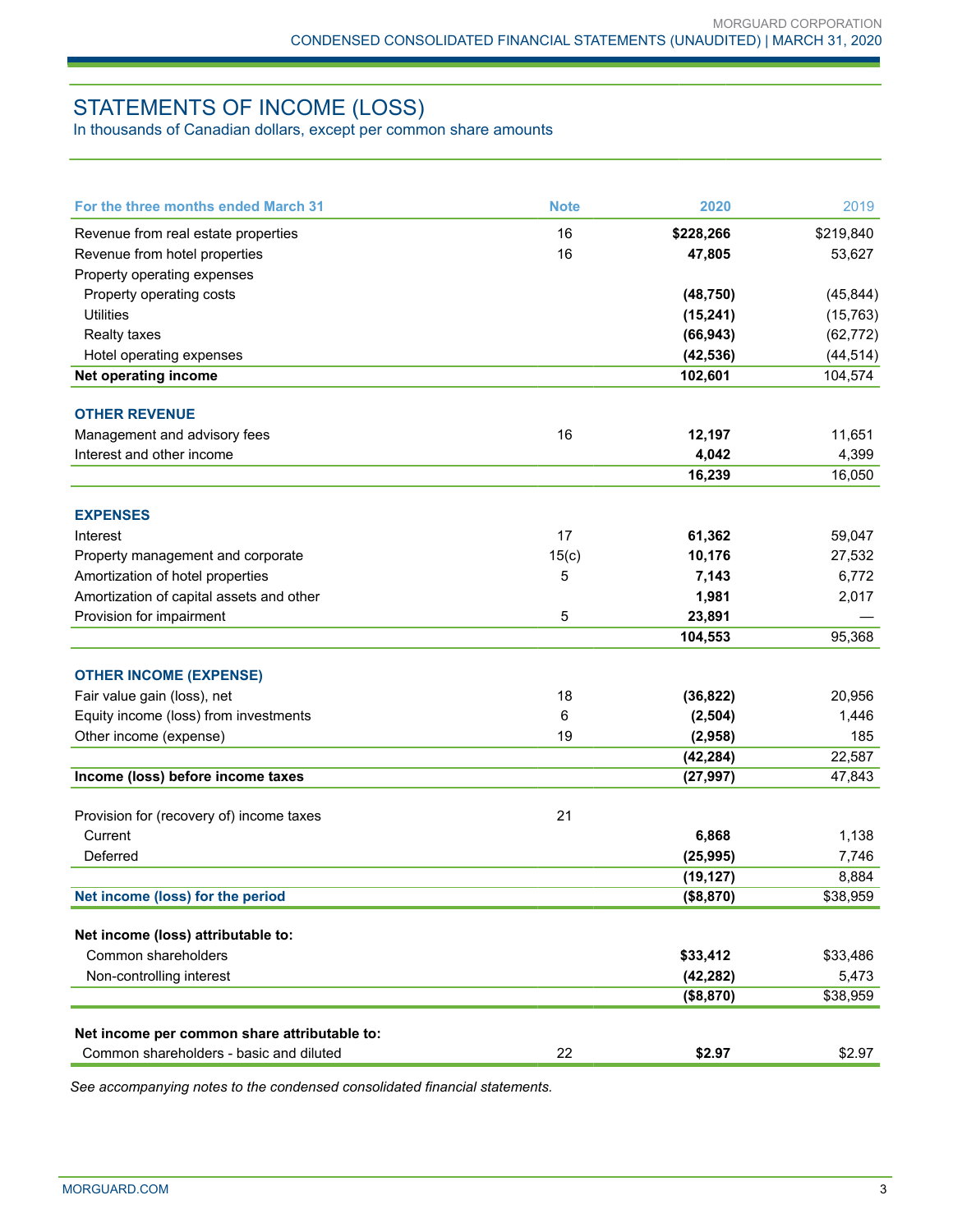# STATEMENTS OF INCOME (LOSS)

In thousands of Canadian dollars, except per common share amounts

| For the three months ended March 31          | <b>Note</b> | 2020                   | 2019           |
|----------------------------------------------|-------------|------------------------|----------------|
| Revenue from real estate properties          | 16          | \$228,266              | \$219,840      |
| Revenue from hotel properties                | 16          | 47,805                 | 53,627         |
| Property operating expenses                  |             |                        |                |
| Property operating costs                     |             | (48, 750)              | (45, 844)      |
| <b>Utilities</b>                             |             | (15, 241)              | (15, 763)      |
| <b>Realty taxes</b>                          |             | (66, 943)              | (62, 772)      |
| Hotel operating expenses                     |             | (42, 536)              | (44, 514)      |
| Net operating income                         |             | 102,601                | 104,574        |
| <b>OTHER REVENUE</b>                         |             |                        |                |
| Management and advisory fees                 | 16          | 12,197                 | 11,651         |
| Interest and other income                    |             | 4,042                  | 4,399          |
|                                              |             | 16,239                 | 16,050         |
|                                              |             |                        |                |
| <b>EXPENSES</b>                              |             |                        |                |
| Interest                                     | 17          | 61,362                 | 59,047         |
| Property management and corporate            | 15(c)       | 10,176                 | 27,532         |
| Amortization of hotel properties             | 5           | 7,143                  | 6,772          |
| Amortization of capital assets and other     |             | 1,981                  | 2,017          |
| Provision for impairment                     | 5           | 23,891                 |                |
|                                              |             | 104,553                | 95,368         |
| <b>OTHER INCOME (EXPENSE)</b>                |             |                        |                |
| Fair value gain (loss), net                  | 18          | (36, 822)              | 20,956         |
| Equity income (loss) from investments        | 6           | (2, 504)               | 1,446          |
| Other income (expense)                       | 19          | (2,958)                | 185            |
|                                              |             | (42, 284)              | 22,587         |
| Income (loss) before income taxes            |             | (27, 997)              | 47,843         |
|                                              |             |                        |                |
| Provision for (recovery of) income taxes     | 21          |                        |                |
| Current<br>Deferred                          |             | 6,868                  | 1,138          |
|                                              |             | (25, 995)              | 7,746<br>8,884 |
| Net income (loss) for the period             |             | (19, 127)<br>(\$8,870) | \$38,959       |
|                                              |             |                        |                |
| Net income (loss) attributable to:           |             |                        |                |
| Common shareholders                          |             | \$33,412               | \$33,486       |
| Non-controlling interest                     |             | (42, 282)              | 5,473          |
|                                              |             | (\$8,870)              | \$38,959       |
| Net income per common share attributable to: |             |                        |                |
| Common shareholders - basic and diluted      | 22          | \$2.97                 | \$2.97         |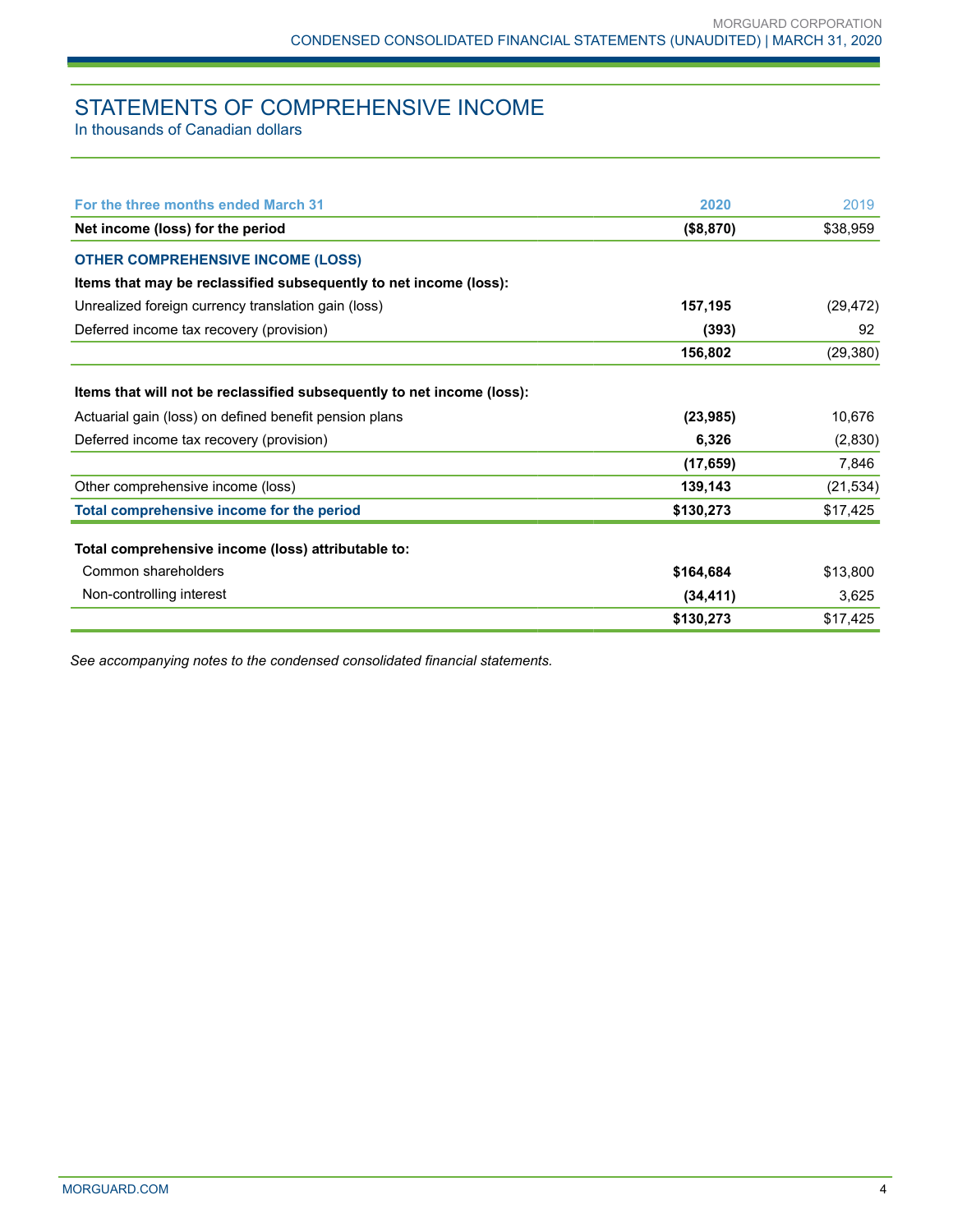# STATEMENTS OF COMPREHENSIVE INCOME

In thousands of Canadian dollars

| For the three months ended March 31                                    | 2020      | 2019      |
|------------------------------------------------------------------------|-----------|-----------|
| Net income (loss) for the period                                       | (\$8,870) | \$38,959  |
| <b>OTHER COMPREHENSIVE INCOME (LOSS)</b>                               |           |           |
| Items that may be reclassified subsequently to net income (loss):      |           |           |
| Unrealized foreign currency translation gain (loss)                    | 157,195   | (29, 472) |
| Deferred income tax recovery (provision)                               | (393)     | 92        |
|                                                                        | 156,802   | (29, 380) |
| Items that will not be reclassified subsequently to net income (loss): |           |           |
| Actuarial gain (loss) on defined benefit pension plans                 | (23, 985) | 10,676    |
| Deferred income tax recovery (provision)                               | 6,326     | (2,830)   |
|                                                                        | (17, 659) | 7,846     |
| Other comprehensive income (loss)                                      | 139,143   | (21, 534) |
| Total comprehensive income for the period                              | \$130,273 | \$17,425  |
| Total comprehensive income (loss) attributable to:                     |           |           |
| Common shareholders                                                    | \$164,684 | \$13,800  |
| Non-controlling interest                                               | (34, 411) | 3,625     |
|                                                                        | \$130,273 | \$17,425  |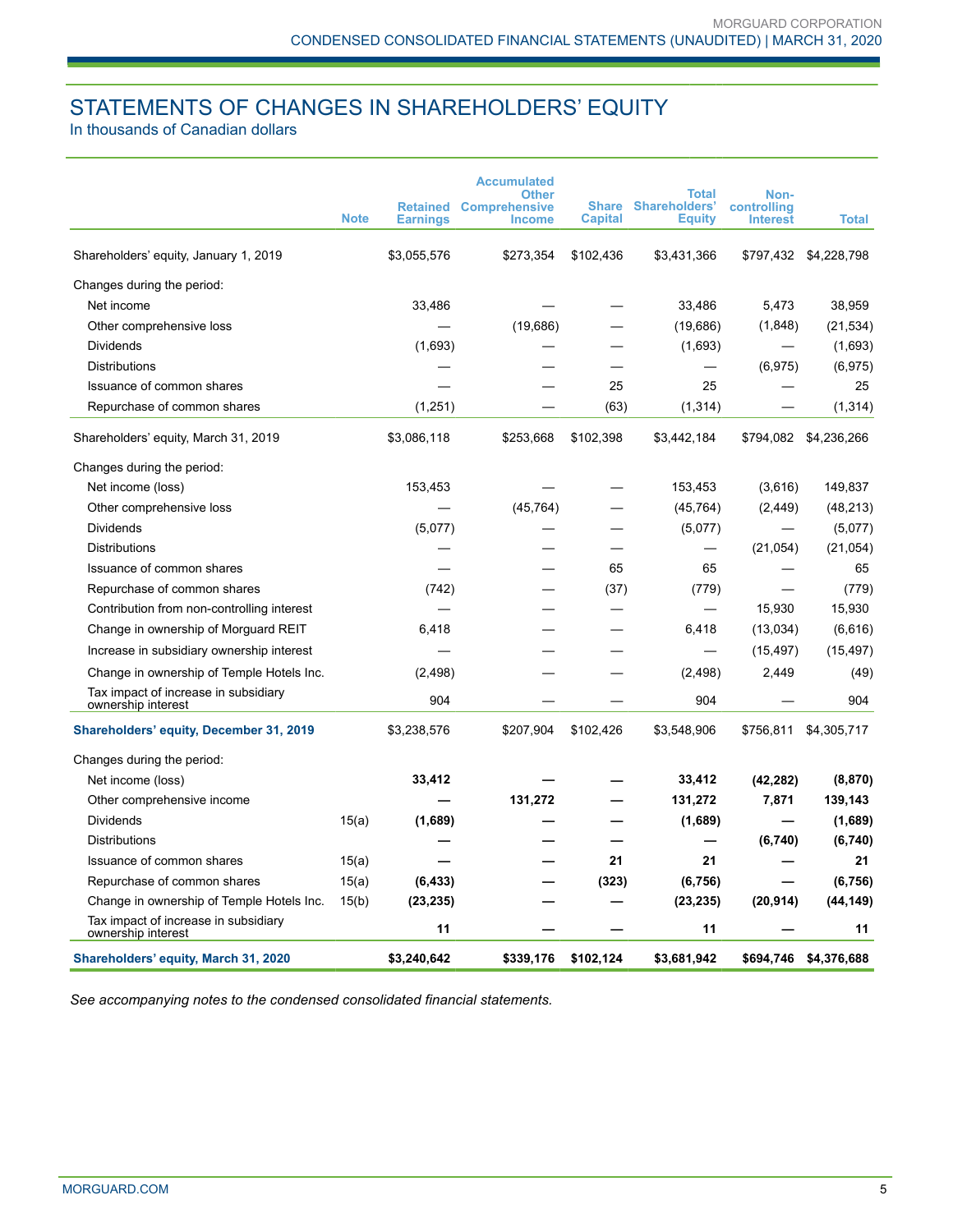# STATEMENTS OF CHANGES IN SHAREHOLDERS' EQUITY

In thousands of Canadian dollars

|                                                            | <b>Note</b> | <b>Retained</b><br><b>Earnings</b> | <b>Accumulated</b><br><b>Other</b><br><b>Comprehensive</b><br><b>Income</b> | Share<br><b>Capital</b> | Total<br>Shareholders'<br><b>Equity</b> | Non-<br>controlling<br><b>Interest</b> | <b>Total</b>          |
|------------------------------------------------------------|-------------|------------------------------------|-----------------------------------------------------------------------------|-------------------------|-----------------------------------------|----------------------------------------|-----------------------|
|                                                            |             |                                    |                                                                             |                         |                                         |                                        |                       |
| Shareholders' equity, January 1, 2019                      |             | \$3,055,576                        | \$273,354                                                                   | \$102,436               | \$3,431,366                             |                                        | \$797,432 \$4,228,798 |
| Changes during the period:                                 |             |                                    |                                                                             |                         |                                         |                                        |                       |
| Net income                                                 |             | 33,486                             |                                                                             |                         | 33,486                                  | 5,473                                  | 38,959                |
| Other comprehensive loss                                   |             |                                    | (19,686)                                                                    |                         | (19,686)                                | (1,848)                                | (21, 534)             |
| Dividends                                                  |             | (1,693)                            |                                                                             |                         | (1,693)                                 |                                        | (1,693)               |
| <b>Distributions</b>                                       |             |                                    |                                                                             |                         | $\overline{\phantom{0}}$                | (6, 975)                               | (6, 975)              |
| Issuance of common shares                                  |             |                                    |                                                                             | 25                      | 25                                      |                                        | 25                    |
| Repurchase of common shares                                |             | (1,251)                            |                                                                             | (63)                    | (1, 314)                                |                                        | (1, 314)              |
| Shareholders' equity, March 31, 2019                       |             | \$3,086,118                        | \$253,668                                                                   | \$102,398               | \$3,442,184                             | \$794,082                              | \$4,236,266           |
| Changes during the period:                                 |             |                                    |                                                                             |                         |                                         |                                        |                       |
| Net income (loss)                                          |             | 153,453                            |                                                                             |                         | 153,453                                 | (3,616)                                | 149,837               |
| Other comprehensive loss                                   |             |                                    | (45, 764)                                                                   |                         | (45, 764)                               | (2, 449)                               | (48, 213)             |
| <b>Dividends</b>                                           |             | (5,077)                            |                                                                             |                         | (5,077)                                 |                                        | (5,077)               |
| Distributions                                              |             |                                    |                                                                             |                         | $\overline{\phantom{0}}$                | (21, 054)                              | (21, 054)             |
| Issuance of common shares                                  |             |                                    |                                                                             | 65                      | 65                                      |                                        | 65                    |
| Repurchase of common shares                                |             | (742)                              |                                                                             | (37)                    | (779)                                   |                                        | (779)                 |
| Contribution from non-controlling interest                 |             |                                    |                                                                             |                         |                                         | 15,930                                 | 15,930                |
| Change in ownership of Morguard REIT                       |             | 6,418                              |                                                                             |                         | 6,418                                   | (13,034)                               | (6,616)               |
| Increase in subsidiary ownership interest                  |             |                                    |                                                                             |                         |                                         | (15, 497)                              | (15, 497)             |
| Change in ownership of Temple Hotels Inc.                  |             | (2, 498)                           |                                                                             |                         | (2, 498)                                | 2,449                                  | (49)                  |
| Tax impact of increase in subsidiary<br>ownership interest |             | 904                                |                                                                             |                         | 904                                     |                                        | 904                   |
| Shareholders' equity, December 31, 2019                    |             | \$3,238,576                        | \$207,904                                                                   | \$102,426               | \$3,548,906                             | \$756,811                              | \$4,305,717           |
| Changes during the period:                                 |             |                                    |                                                                             |                         |                                         |                                        |                       |
| Net income (loss)                                          |             | 33,412                             |                                                                             |                         | 33,412                                  | (42, 282)                              | (8, 870)              |
| Other comprehensive income                                 |             |                                    | 131,272                                                                     |                         | 131,272                                 | 7,871                                  | 139,143               |
| Dividends                                                  | 15(a)       | (1,689)                            |                                                                             |                         | (1,689)                                 |                                        | (1,689)               |
| <b>Distributions</b>                                       |             |                                    |                                                                             |                         |                                         | (6,740)                                | (6,740)               |
| Issuance of common shares                                  | 15(a)       |                                    |                                                                             | 21                      | 21                                      |                                        | 21                    |
| Repurchase of common shares                                | 15(a)       | (6, 433)                           |                                                                             | (323)                   | (6, 756)                                |                                        | (6, 756)              |
| Change in ownership of Temple Hotels Inc.                  | 15(b)       | (23, 235)                          |                                                                             |                         | (23, 235)                               | (20, 914)                              | (44, 149)             |
| Tax impact of increase in subsidiary<br>ownership interest |             | 11                                 |                                                                             |                         | 11                                      |                                        | 11                    |
| Shareholders' equity, March 31, 2020                       |             | \$3,240,642                        | \$339,176                                                                   | \$102,124               | \$3,681,942                             | \$694,746                              | \$4,376,688           |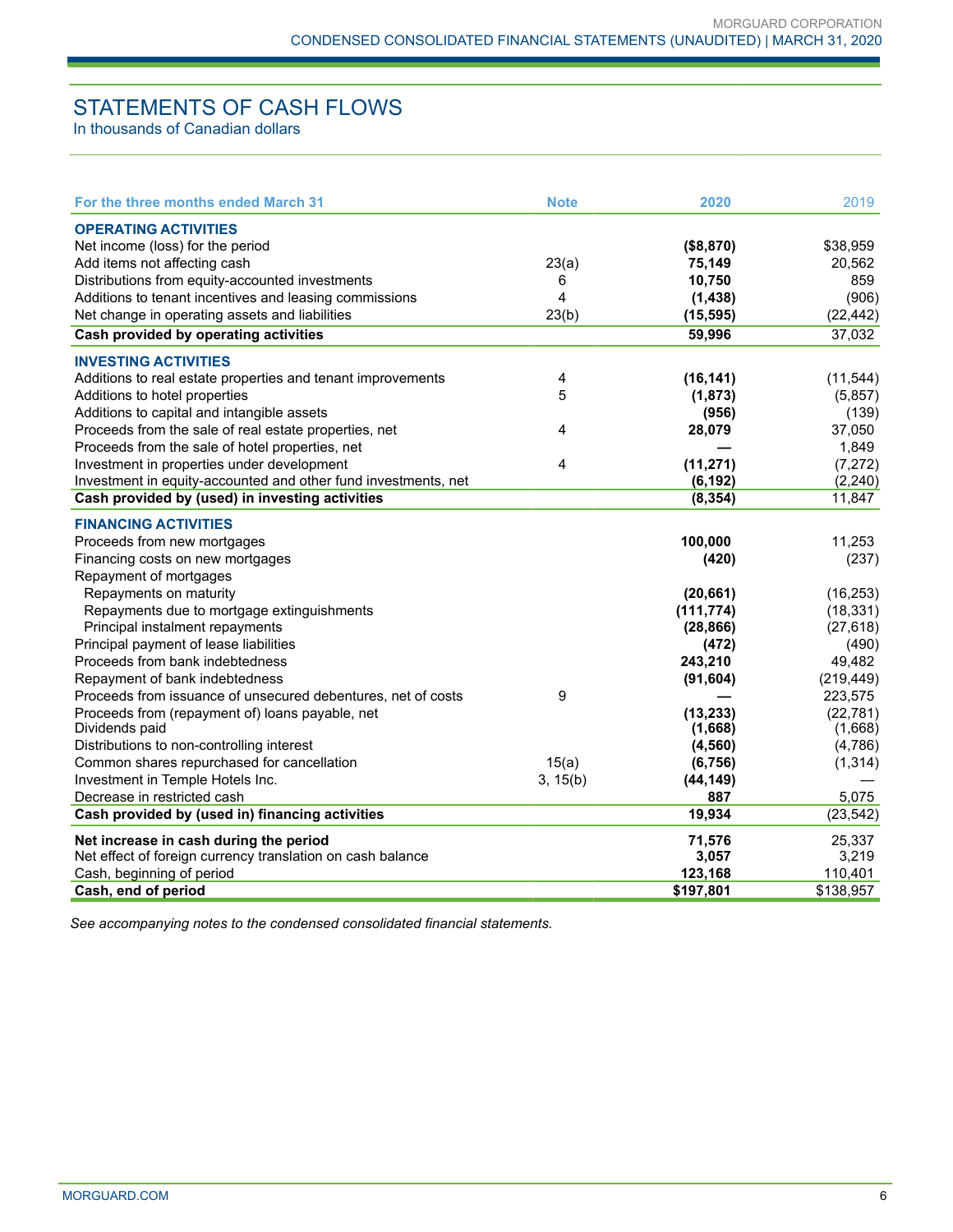# STATEMENTS OF CASH FLOWS

In thousands of Canadian dollars

| For the three months ended March 31                                                            | <b>Note</b> | 2020                 | 2019                  |
|------------------------------------------------------------------------------------------------|-------------|----------------------|-----------------------|
| <b>OPERATING ACTIVITIES</b>                                                                    |             |                      |                       |
| Net income (loss) for the period                                                               |             | (\$8,870)            | \$38,959              |
| Add items not affecting cash                                                                   | 23(a)       | 75,149               | 20,562                |
| Distributions from equity-accounted investments                                                | 6           | 10,750               | 859                   |
| Additions to tenant incentives and leasing commissions                                         | 4           | (1,438)              | (906)                 |
| Net change in operating assets and liabilities                                                 | 23(b)       | (15, 595)            | (22, 442)             |
| Cash provided by operating activities                                                          |             | 59,996               | 37,032                |
| <b>INVESTING ACTIVITIES</b>                                                                    |             |                      |                       |
| Additions to real estate properties and tenant improvements                                    | 4           | (16, 141)            | (11, 544)             |
| Additions to hotel properties                                                                  | 5           | (1, 873)             | (5,857)               |
| Additions to capital and intangible assets                                                     |             | (956)                | (139)                 |
| Proceeds from the sale of real estate properties, net                                          | 4           | 28,079               | 37,050                |
| Proceeds from the sale of hotel properties, net                                                |             |                      | 1,849                 |
| Investment in properties under development                                                     | 4           | (11, 271)            | (7, 272)              |
| Investment in equity-accounted and other fund investments, net                                 |             | (6, 192)             | (2, 240)              |
| Cash provided by (used) in investing activities                                                |             | (8, 354)             | 11,847                |
|                                                                                                |             |                      |                       |
| <b>FINANCING ACTIVITIES</b>                                                                    |             |                      |                       |
| Proceeds from new mortgages                                                                    |             | 100,000              | 11,253                |
| Financing costs on new mortgages                                                               |             | (420)                | (237)                 |
| Repayment of mortgages                                                                         |             |                      |                       |
| Repayments on maturity                                                                         |             | (20, 661)            | (16, 253)             |
| Repayments due to mortgage extinguishments                                                     |             | (111, 774)           | (18, 331)             |
| Principal instalment repayments                                                                |             | (28, 866)            | (27, 618)             |
| Principal payment of lease liabilities                                                         |             | (472)                | (490)                 |
| Proceeds from bank indebtedness                                                                |             | 243,210              | 49,482                |
| Repayment of bank indebtedness<br>Proceeds from issuance of unsecured debentures, net of costs | 9           | (91, 604)            | (219, 449)<br>223,575 |
| Proceeds from (repayment of) loans payable, net                                                |             |                      | (22, 781)             |
| Dividends paid                                                                                 |             | (13, 233)<br>(1,668) | (1,668)               |
| Distributions to non-controlling interest                                                      |             | (4, 560)             | (4,786)               |
| Common shares repurchased for cancellation                                                     | 15(a)       | (6, 756)             | (1, 314)              |
| Investment in Temple Hotels Inc.                                                               | 3, 15(b)    | (44, 149)            |                       |
| Decrease in restricted cash                                                                    |             | 887                  | 5,075                 |
| Cash provided by (used in) financing activities                                                |             | 19,934               | (23, 542)             |
| Net increase in cash during the period                                                         |             | 71,576               | 25,337                |
| Net effect of foreign currency translation on cash balance                                     |             | 3,057                | 3,219                 |
| Cash, beginning of period                                                                      |             | 123,168              | 110,401               |
| Cash, end of period                                                                            |             | \$197,801            | \$138,957             |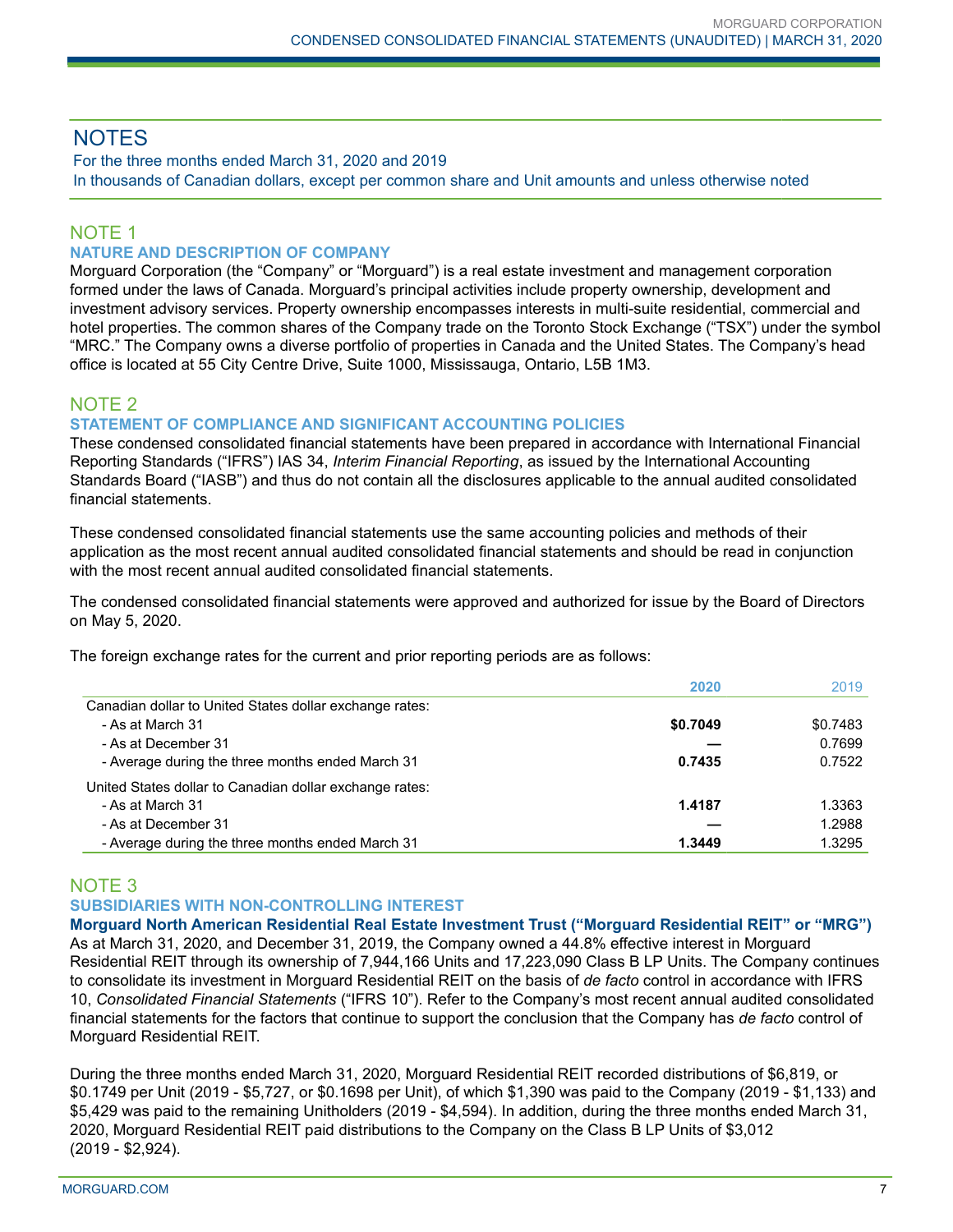# **NOTES**

For the three months ended March 31, 2020 and 2019 In thousands of Canadian dollars, except per common share and Unit amounts and unless otherwise noted

## NOTE 1

## **NATURE AND DESCRIPTION OF COMPANY**

Morguard Corporation (the "Company" or "Morguard") is a real estate investment and management corporation formed under the laws of Canada. Morguard's principal activities include property ownership, development and investment advisory services. Property ownership encompasses interests in multi-suite residential, commercial and hotel properties. The common shares of the Company trade on the Toronto Stock Exchange ("TSX") under the symbol "MRC." The Company owns a diverse portfolio of properties in Canada and the United States. The Company's head office is located at 55 City Centre Drive, Suite 1000, Mississauga, Ontario, L5B 1M3.

# NOTE 2

## **STATEMENT OF COMPLIANCE AND SIGNIFICANT ACCOUNTING POLICIES**

These condensed consolidated financial statements have been prepared in accordance with International Financial Reporting Standards ("IFRS") IAS 34, *Interim Financial Reporting*, as issued by the International Accounting Standards Board ("IASB") and thus do not contain all the disclosures applicable to the annual audited consolidated financial statements.

These condensed consolidated financial statements use the same accounting policies and methods of their application as the most recent annual audited consolidated financial statements and should be read in conjunction with the most recent annual audited consolidated financial statements.

The condensed consolidated financial statements were approved and authorized for issue by the Board of Directors on May 5, 2020.

The foreign exchange rates for the current and prior reporting periods are as follows:

|                                                         | 2020     | 2019     |
|---------------------------------------------------------|----------|----------|
| Canadian dollar to United States dollar exchange rates: |          |          |
| - As at March 31                                        | \$0.7049 | \$0.7483 |
| - As at December 31                                     |          | 0.7699   |
| - Average during the three months ended March 31        | 0.7435   | 0.7522   |
| United States dollar to Canadian dollar exchange rates: |          |          |
| - As at March 31                                        | 1.4187   | 1.3363   |
| - As at December 31                                     |          | 1.2988   |
| - Average during the three months ended March 31        | 1.3449   | 1.3295   |

## NOTE 3

## **SUBSIDIARIES WITH NON-CONTROLLING INTEREST**

**Morguard North American Residential Real Estate Investment Trust ("Morguard Residential REIT" or "MRG")** As at March 31, 2020, and December 31, 2019, the Company owned a 44.8% effective interest in Morguard Residential REIT through its ownership of 7,944,166 Units and 17,223,090 Class B LP Units. The Company continues to consolidate its investment in Morguard Residential REIT on the basis of *de facto* control in accordance with IFRS 10, *Consolidated Financial Statements* ("IFRS 10"). Refer to the Company's most recent annual audited consolidated financial statements for the factors that continue to support the conclusion that the Company has *de facto* control of Morguard Residential REIT.

During the three months ended March 31, 2020, Morguard Residential REIT recorded distributions of \$6,819, or \$0.1749 per Unit (2019 - \$5,727, or \$0.1698 per Unit), of which \$1,390 was paid to the Company (2019 - \$1,133) and \$5,429 was paid to the remaining Unitholders (2019 - \$4,594). In addition, during the three months ended March 31, 2020, Morguard Residential REIT paid distributions to the Company on the Class B LP Units of \$3,012 (2019 - \$2,924).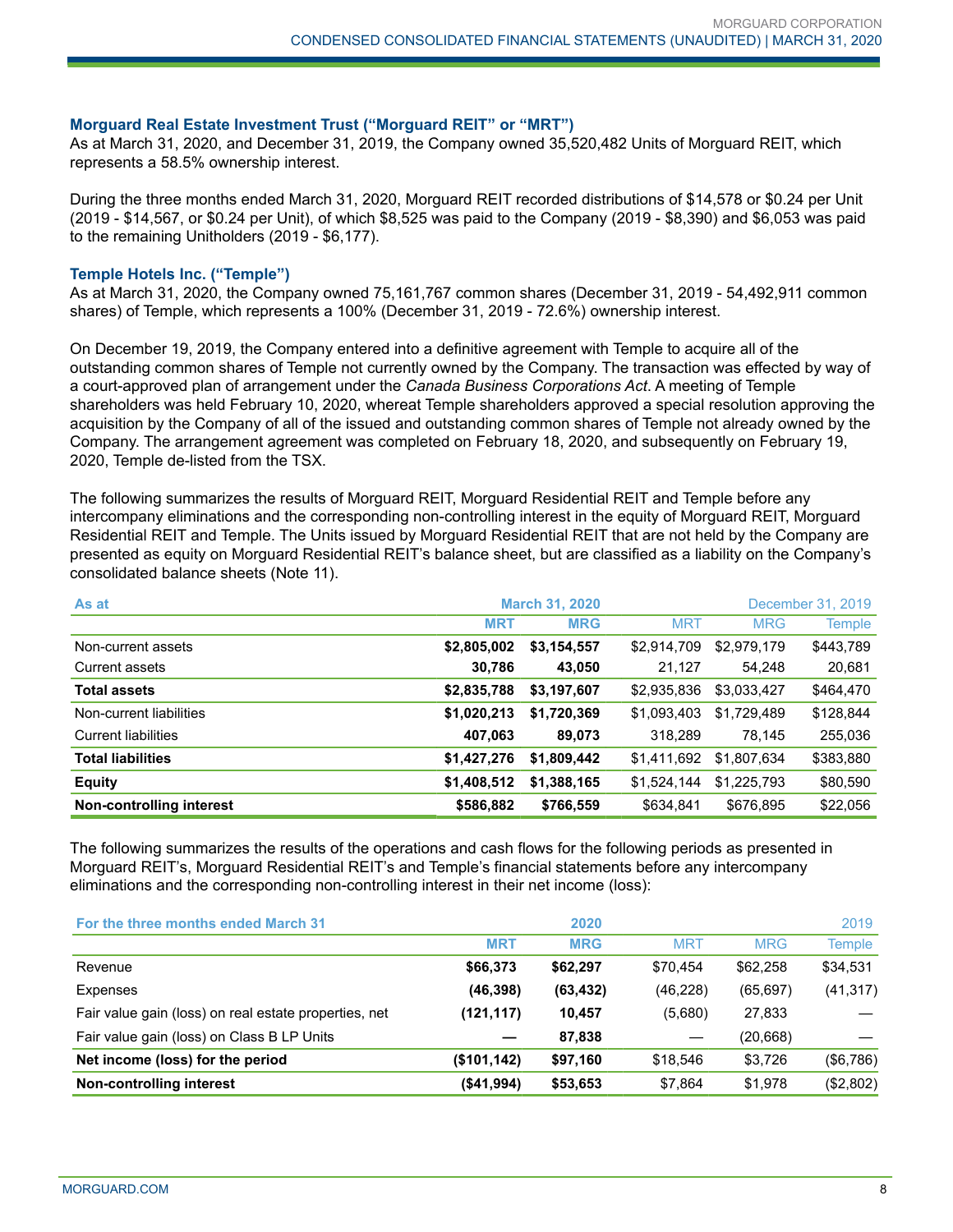#### **Morguard Real Estate Investment Trust ("Morguard REIT" or "MRT")**

As at March 31, 2020, and December 31, 2019, the Company owned 35,520,482 Units of Morguard REIT, which represents a 58.5% ownership interest.

During the three months ended March 31, 2020, Morguard REIT recorded distributions of \$14,578 or \$0.24 per Unit (2019 - \$14,567, or \$0.24 per Unit), of which \$8,525 was paid to the Company (2019 - \$8,390) and \$6,053 was paid to the remaining Unitholders (2019 - \$6,177).

#### **Temple Hotels Inc. ("Temple")**

As at March 31, 2020, the Company owned 75,161,767 common shares (December 31, 2019 - 54,492,911 common shares) of Temple, which represents a 100% (December 31, 2019 - 72.6%) ownership interest.

On December 19, 2019, the Company entered into a definitive agreement with Temple to acquire all of the outstanding common shares of Temple not currently owned by the Company. The transaction was effected by way of a court-approved plan of arrangement under the *Canada Business Corporations Act*. A meeting of Temple shareholders was held February 10, 2020, whereat Temple shareholders approved a special resolution approving the acquisition by the Company of all of the issued and outstanding common shares of Temple not already owned by the Company. The arrangement agreement was completed on February 18, 2020, and subsequently on February 19, 2020, Temple de-listed from the TSX.

The following summarizes the results of Morguard REIT, Morguard Residential REIT and Temple before any intercompany eliminations and the corresponding non-controlling interest in the equity of Morguard REIT, Morguard Residential REIT and Temple. The Units issued by Morguard Residential REIT that are not held by the Company are presented as equity on Morguard Residential REIT's balance sheet, but are classified as a liability on the Company's consolidated balance sheets (Note 11).

| As at                      | <b>March 31, 2020</b> |             |             |             |               |  |  | December 31, 2019 |
|----------------------------|-----------------------|-------------|-------------|-------------|---------------|--|--|-------------------|
|                            | <b>MRT</b>            | <b>MRG</b>  | <b>MRT</b>  | <b>MRG</b>  | <b>Temple</b> |  |  |                   |
| Non-current assets         | \$2,805,002           | \$3,154,557 | \$2,914,709 | \$2,979,179 | \$443,789     |  |  |                   |
| Current assets             | 30,786                | 43,050      | 21.127      | 54,248      | 20,681        |  |  |                   |
| <b>Total assets</b>        | \$2,835,788           | \$3,197,607 | \$2,935,836 | \$3,033,427 | \$464,470     |  |  |                   |
| Non-current liabilities    | \$1,020,213           | \$1,720,369 | \$1,093,403 | \$1,729,489 | \$128,844     |  |  |                   |
| <b>Current liabilities</b> | 407,063               | 89,073      | 318,289     | 78,145      | 255,036       |  |  |                   |
| <b>Total liabilities</b>   | \$1,427,276           | \$1,809,442 | \$1,411,692 | \$1,807,634 | \$383,880     |  |  |                   |
| <b>Equity</b>              | \$1,408,512           | \$1,388,165 | \$1,524,144 | \$1,225,793 | \$80,590      |  |  |                   |
| Non-controlling interest   | \$586,882             | \$766,559   | \$634,841   | \$676,895   | \$22,056      |  |  |                   |

The following summarizes the results of the operations and cash flows for the following periods as presented in Morguard REIT's, Morguard Residential REIT's and Temple's financial statements before any intercompany eliminations and the corresponding non-controlling interest in their net income (loss):

| For the three months ended March 31                   |              | 2020       |            |            | 2019          |
|-------------------------------------------------------|--------------|------------|------------|------------|---------------|
|                                                       | <b>MRT</b>   | <b>MRG</b> | <b>MRT</b> | <b>MRG</b> | <b>Temple</b> |
| Revenue                                               | \$66,373     | \$62,297   | \$70,454   | \$62,258   | \$34,531      |
| Expenses                                              | (46, 398)    | (63, 432)  | (46, 228)  | (65, 697)  | (41, 317)     |
| Fair value gain (loss) on real estate properties, net | (121, 117)   | 10.457     | (5,680)    | 27,833     |               |
| Fair value gain (loss) on Class B LP Units            |              | 87,838     |            | (20, 668)  |               |
| Net income (loss) for the period                      | (\$101, 142) | \$97,160   | \$18,546   | \$3,726    | (\$6,786)     |
| Non-controlling interest                              | (\$41,994)   | \$53,653   | \$7,864    | \$1,978    | (\$2,802)     |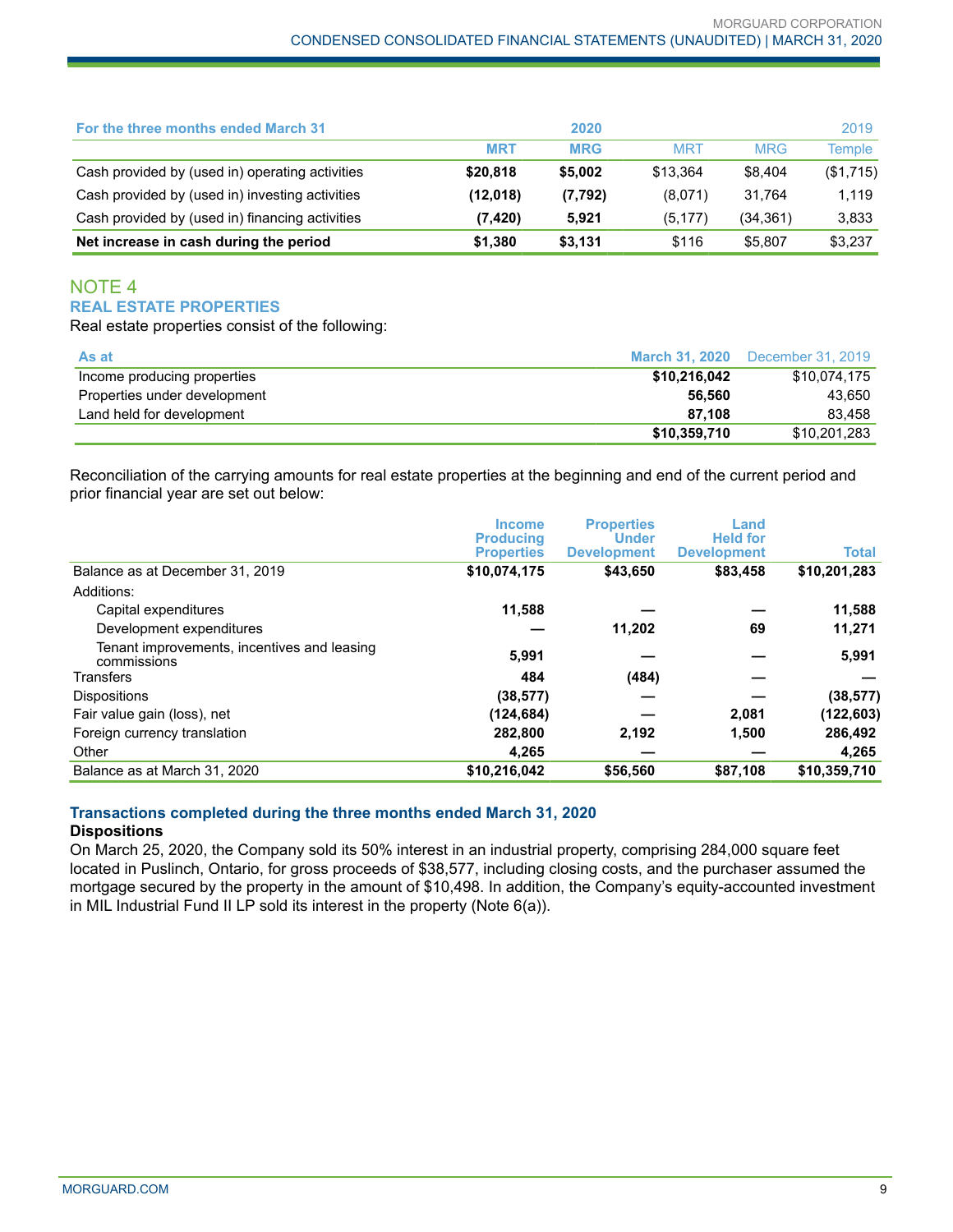| Net increase in cash during the period          | \$1.380    | \$3,131    | \$116      | \$5,807    | \$3,237   |
|-------------------------------------------------|------------|------------|------------|------------|-----------|
| Cash provided by (used in) financing activities | (7, 420)   | 5,921      | (5, 177)   | (34, 361)  | 3,833     |
| Cash provided by (used in) investing activities | (12,018)   | (7, 792)   | (8,071)    | 31.764     | 1.119     |
| Cash provided by (used in) operating activities | \$20,818   | \$5,002    | \$13.364   | \$8.404    | (\$1,715) |
|                                                 | <b>MRT</b> | <b>MRG</b> | <b>MRT</b> | <b>MRG</b> | Temple    |
| For the three months ended March 31             |            | 2020       |            |            | 2019      |

## NOTE 4 **REAL ESTATE PROPERTIES**

Real estate properties consist of the following:

| As at                        |              | <b>March 31, 2020</b> December 31, 2019 |
|------------------------------|--------------|-----------------------------------------|
| Income producing properties  | \$10,216,042 | \$10.074.175                            |
| Properties under development | 56.560       | 43.650                                  |
| Land held for development    | 87.108       | 83.458                                  |
|                              | \$10,359,710 | \$10,201,283                            |

Reconciliation of the carrying amounts for real estate properties at the beginning and end of the current period and prior financial year are set out below:

|                                                            | <b>Income</b><br><b>Producing</b><br><b>Properties</b> | <b>Properties</b><br><b>Under</b><br><b>Development</b> | Land<br><b>Held for</b><br><b>Development</b> | Total        |
|------------------------------------------------------------|--------------------------------------------------------|---------------------------------------------------------|-----------------------------------------------|--------------|
| Balance as at December 31, 2019                            | \$10,074,175                                           | \$43,650                                                | \$83,458                                      | \$10,201,283 |
| Additions:                                                 |                                                        |                                                         |                                               |              |
| Capital expenditures                                       | 11,588                                                 |                                                         |                                               | 11,588       |
| Development expenditures                                   |                                                        | 11,202                                                  | 69                                            | 11,271       |
| Tenant improvements, incentives and leasing<br>commissions | 5,991                                                  |                                                         |                                               | 5,991        |
| Transfers                                                  | 484                                                    | (484)                                                   |                                               |              |
| <b>Dispositions</b>                                        | (38, 577)                                              |                                                         |                                               | (38, 577)    |
| Fair value gain (loss), net                                | (124, 684)                                             |                                                         | 2,081                                         | (122, 603)   |
| Foreign currency translation                               | 282,800                                                | 2,192                                                   | 1,500                                         | 286,492      |
| Other                                                      | 4,265                                                  |                                                         |                                               | 4,265        |
| Balance as at March 31, 2020                               | \$10,216,042                                           | \$56,560                                                | \$87,108                                      | \$10,359,710 |

# **Transactions completed during the three months ended March 31, 2020**

## **Dispositions**

On March 25, 2020, the Company sold its 50% interest in an industrial property, comprising 284,000 square feet located in Puslinch, Ontario, for gross proceeds of \$38,577, including closing costs, and the purchaser assumed the mortgage secured by the property in the amount of \$10,498. In addition, the Company's equity-accounted investment in MIL Industrial Fund II LP sold its interest in the property (Note 6(a)).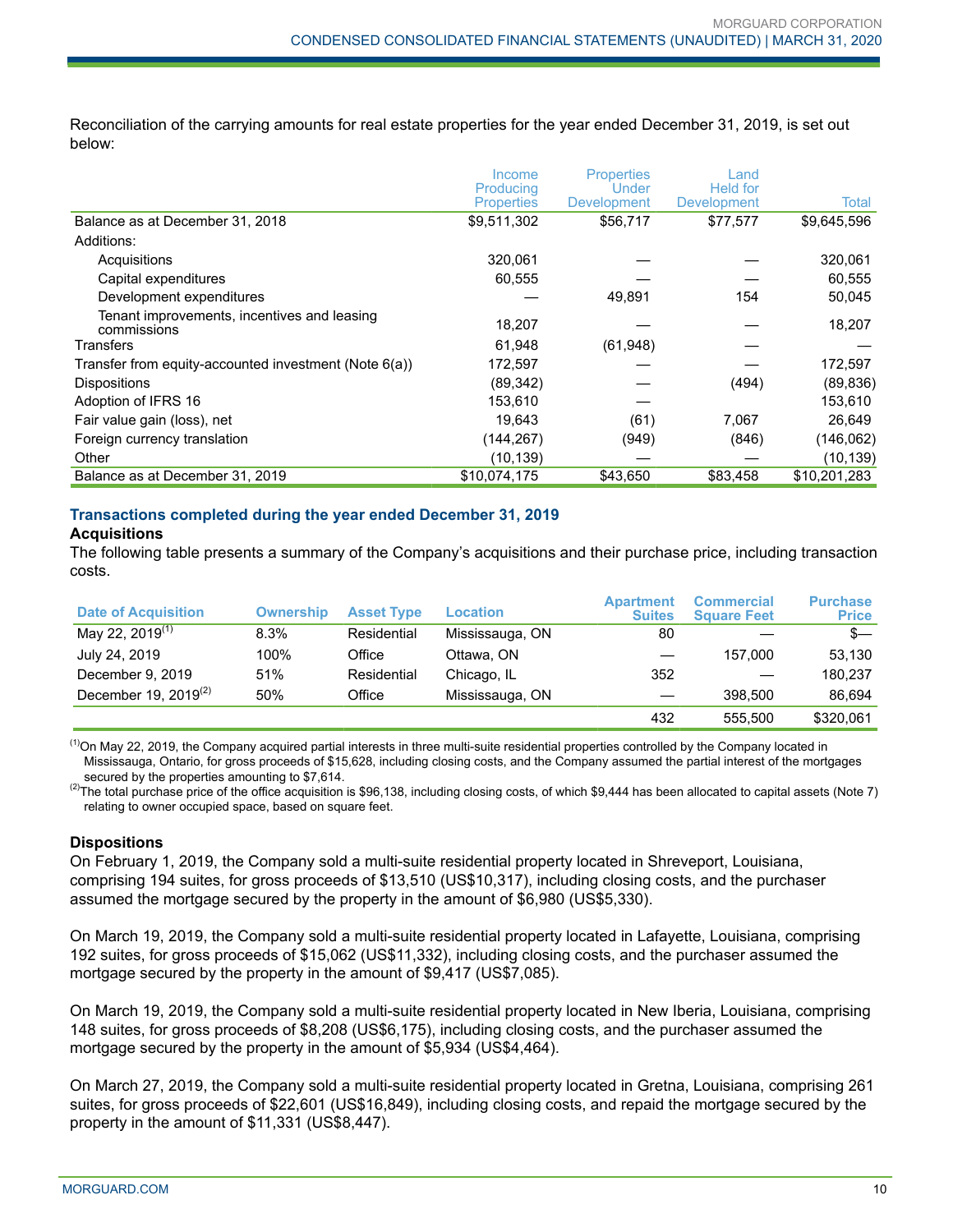Reconciliation of the carrying amounts for real estate properties for the year ended December 31, 2019, is set out below:

|                                                            | Income                         | <b>Properties</b>           | Land                    |              |
|------------------------------------------------------------|--------------------------------|-----------------------------|-------------------------|--------------|
|                                                            | Producing<br><b>Properties</b> | Under<br><b>Development</b> | Held for<br>Development | Total        |
| Balance as at December 31, 2018                            | \$9,511,302                    | \$56,717                    | \$77,577                | \$9,645,596  |
| Additions:                                                 |                                |                             |                         |              |
| Acquisitions                                               | 320,061                        |                             |                         | 320,061      |
| Capital expenditures                                       | 60,555                         |                             |                         | 60,555       |
| Development expenditures                                   |                                | 49,891                      | 154                     | 50,045       |
| Tenant improvements, incentives and leasing<br>commissions | 18,207                         |                             |                         | 18,207       |
| Transfers                                                  | 61,948                         | (61, 948)                   |                         |              |
| Transfer from equity-accounted investment (Note 6(a))      | 172,597                        |                             |                         | 172,597      |
| <b>Dispositions</b>                                        | (89, 342)                      |                             | (494)                   | (89, 836)    |
| Adoption of IFRS 16                                        | 153,610                        |                             |                         | 153,610      |
| Fair value gain (loss), net                                | 19,643                         | (61)                        | 7,067                   | 26,649       |
| Foreign currency translation                               | (144,267)                      | (949)                       | (846)                   | (146, 062)   |
| Other                                                      | (10, 139)                      |                             |                         | (10, 139)    |
| Balance as at December 31, 2019                            | \$10,074,175                   | \$43,650                    | \$83,458                | \$10,201,283 |

# **Transactions completed during the year ended December 31, 2019**

#### **Acquisitions**

The following table presents a summary of the Company's acquisitions and their purchase price, including transaction costs.

| <b>Date of Acquisition</b>  | <b>Ownership</b> | <b>Asset Type</b> | <b>Location</b> | <b>Apartment</b><br><b>Suites</b> | <b>Commercial</b><br><b>Square Feet</b> | <b>Purchase</b><br><b>Price</b> |
|-----------------------------|------------------|-------------------|-----------------|-----------------------------------|-----------------------------------------|---------------------------------|
| May 22, 2019 <sup>(1)</sup> | 8.3%             | Residential       | Mississauga, ON | 80                                |                                         | $s-$                            |
| July 24, 2019               | 100%             | Office            | Ottawa, ON      |                                   | 157.000                                 | 53.130                          |
| December 9, 2019            | 51%              | Residential       | Chicago, IL     | 352                               |                                         | 180.237                         |
| December 19, 2019 $(2)$     | 50%              | Office            | Mississauga, ON |                                   | 398,500                                 | 86.694                          |
|                             |                  |                   |                 | 432                               | 555.500                                 | \$320,061                       |

 $<sup>(1)</sup>$ On May 22, 2019, the Company acquired partial interests in three multi-suite residential properties controlled by the Company located in</sup> Mississauga, Ontario, for gross proceeds of \$15,628, including closing costs, and the Company assumed the partial interest of the mortgages secured by the properties amounting to \$7,614.

<sup>(2)</sup>The total purchase price of the office acquisition is \$96,138, including closing costs, of which \$9,444 has been allocated to capital assets (Note 7) relating to owner occupied space, based on square feet.

## **Dispositions**

On February 1, 2019, the Company sold a multi-suite residential property located in Shreveport, Louisiana, comprising 194 suites, for gross proceeds of \$13,510 (US\$10,317), including closing costs, and the purchaser assumed the mortgage secured by the property in the amount of \$6,980 (US\$5,330).

On March 19, 2019, the Company sold a multi-suite residential property located in Lafayette, Louisiana, comprising 192 suites, for gross proceeds of \$15,062 (US\$11,332), including closing costs, and the purchaser assumed the mortgage secured by the property in the amount of \$9,417 (US\$7,085).

On March 19, 2019, the Company sold a multi-suite residential property located in New Iberia, Louisiana, comprising 148 suites, for gross proceeds of \$8,208 (US\$6,175), including closing costs, and the purchaser assumed the mortgage secured by the property in the amount of \$5,934 (US\$4,464).

On March 27, 2019, the Company sold a multi-suite residential property located in Gretna, Louisiana, comprising 261 suites, for gross proceeds of \$22,601 (US\$16,849), including closing costs, and repaid the mortgage secured by the property in the amount of \$11,331 (US\$8,447).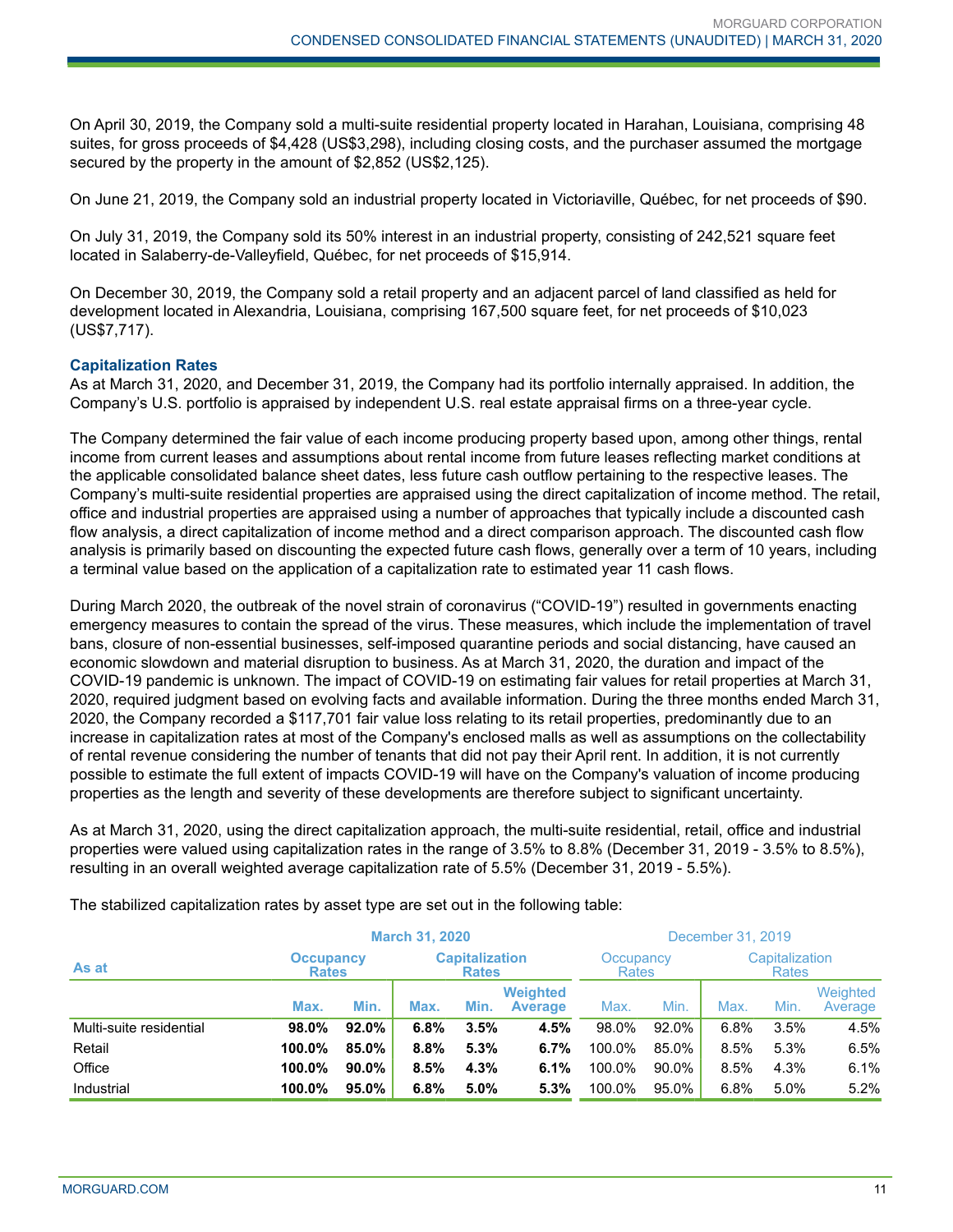On April 30, 2019, the Company sold a multi-suite residential property located in Harahan, Louisiana, comprising 48 suites, for gross proceeds of \$4,428 (US\$3,298), including closing costs, and the purchaser assumed the mortgage secured by the property in the amount of \$2,852 (US\$2,125).

On June 21, 2019, the Company sold an industrial property located in Victoriaville, Québec, for net proceeds of \$90.

On July 31, 2019, the Company sold its 50% interest in an industrial property, consisting of 242,521 square feet located in Salaberry-de-Valleyfield, Québec, for net proceeds of \$15,914.

On December 30, 2019, the Company sold a retail property and an adjacent parcel of land classified as held for development located in Alexandria, Louisiana, comprising 167,500 square feet, for net proceeds of \$10,023 (US\$7,717).

#### **Capitalization Rates**

As at March 31, 2020, and December 31, 2019, the Company had its portfolio internally appraised. In addition, the Company's U.S. portfolio is appraised by independent U.S. real estate appraisal firms on a three-year cycle.

The Company determined the fair value of each income producing property based upon, among other things, rental income from current leases and assumptions about rental income from future leases reflecting market conditions at the applicable consolidated balance sheet dates, less future cash outflow pertaining to the respective leases. The Company's multi-suite residential properties are appraised using the direct capitalization of income method. The retail, office and industrial properties are appraised using a number of approaches that typically include a discounted cash flow analysis, a direct capitalization of income method and a direct comparison approach. The discounted cash flow analysis is primarily based on discounting the expected future cash flows, generally over a term of 10 years, including a terminal value based on the application of a capitalization rate to estimated year 11 cash flows.

During March 2020, the outbreak of the novel strain of coronavirus ("COVID-19") resulted in governments enacting emergency measures to contain the spread of the virus. These measures, which include the implementation of travel bans, closure of non-essential businesses, self-imposed quarantine periods and social distancing, have caused an economic slowdown and material disruption to business. As at March 31, 2020, the duration and impact of the COVID-19 pandemic is unknown. The impact of COVID-19 on estimating fair values for retail properties at March 31, 2020, required judgment based on evolving facts and available information. During the three months ended March 31, 2020, the Company recorded a \$117,701 fair value loss relating to its retail properties, predominantly due to an increase in capitalization rates at most of the Company's enclosed malls as well as assumptions on the collectability of rental revenue considering the number of tenants that did not pay their April rent. In addition, it is not currently possible to estimate the full extent of impacts COVID-19 will have on the Company's valuation of income producing properties as the length and severity of these developments are therefore subject to significant uncertainty.

As at March 31, 2020, using the direct capitalization approach, the multi-suite residential, retail, office and industrial properties were valued using capitalization rates in the range of 3.5% to 8.8% (December 31, 2019 - 3.5% to 8.5%), resulting in an overall weighted average capitalization rate of 5.5% (December 31, 2019 - 5.5%).

| <b>March 31, 2020</b>                                              |        |              |      |                           | December 31, 2019                 |        |                                                                                |      |      |                     |
|--------------------------------------------------------------------|--------|--------------|------|---------------------------|-----------------------------------|--------|--------------------------------------------------------------------------------|------|------|---------------------|
| <b>Capitalization</b><br><b>Occupancy</b><br>As at<br><b>Rates</b> |        | <b>Rates</b> |      | Occupancy<br><b>Rates</b> |                                   |        | Capitalization<br><b>Rates</b><br>Max.<br>Min.<br>6.8%<br>3.5%<br>8.5%<br>5.3% |      |      |                     |
|                                                                    | Max.   | Min.         | Max. | Min.                      | <b>Weighted</b><br><b>Average</b> | Max.   | Min.                                                                           |      |      | Weighted<br>Average |
| Multi-suite residential                                            | 98.0%  | 92.0%        | 6.8% | 3.5%                      | 4.5%                              | 98.0%  | 92.0%                                                                          |      |      | 4.5%                |
| Retail                                                             | 100.0% | 85.0%        | 8.8% | 5.3%                      | 6.7%                              | 100.0% | 85.0%                                                                          |      |      | 6.5%                |
| Office                                                             | 100.0% | $90.0\%$     | 8.5% | 4.3%                      | 6.1%                              | 100.0% | 90.0%                                                                          | 8.5% | 4.3% | 6.1%                |
| Industrial                                                         | 100.0% | 95.0%        | 6.8% | $5.0\%$                   | 5.3%                              | 100.0% | 95.0%                                                                          | 6.8% | 5.0% | 5.2%                |

The stabilized capitalization rates by asset type are set out in the following table: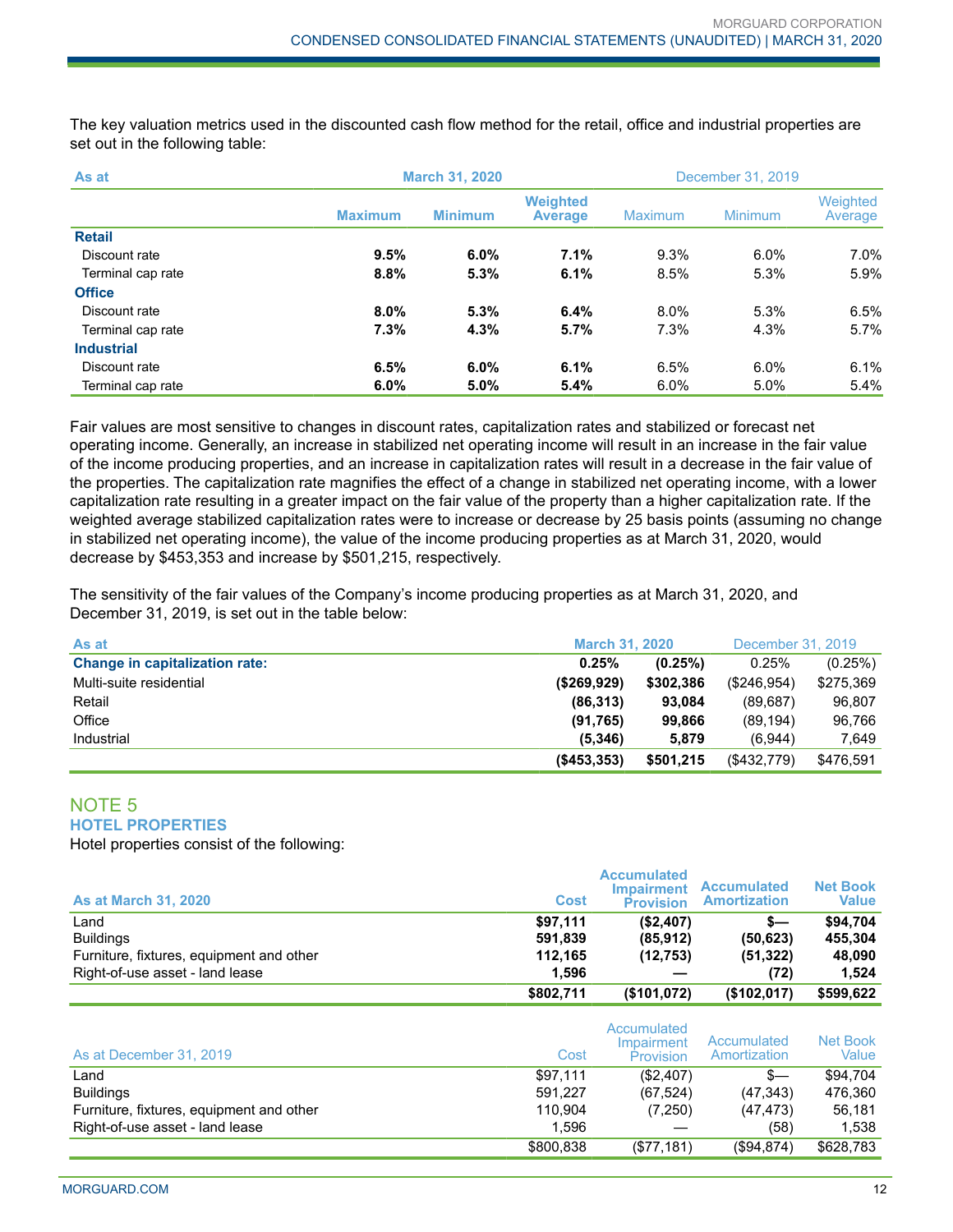The key valuation metrics used in the discounted cash flow method for the retail, office and industrial properties are set out in the following table:

| As at             |                | <b>March 31, 2020</b> |                                   |                | December 31, 2019 |                     |  |
|-------------------|----------------|-----------------------|-----------------------------------|----------------|-------------------|---------------------|--|
|                   | <b>Maximum</b> | <b>Minimum</b>        | <b>Weighted</b><br><b>Average</b> | <b>Maximum</b> | <b>Minimum</b>    | Weighted<br>Average |  |
| <b>Retail</b>     |                |                       |                                   |                |                   |                     |  |
| Discount rate     | 9.5%           | $6.0\%$               | 7.1%                              | 9.3%           | $6.0\%$           | 7.0%                |  |
| Terminal cap rate | 8.8%           | 5.3%                  | 6.1%                              | 8.5%           | 5.3%              | 5.9%                |  |
| <b>Office</b>     |                |                       |                                   |                |                   |                     |  |
| Discount rate     | 8.0%           | 5.3%                  | 6.4%                              | 8.0%           | 5.3%              | 6.5%                |  |
| Terminal cap rate | 7.3%           | 4.3%                  | 5.7%                              | 7.3%           | 4.3%              | 5.7%                |  |
| <b>Industrial</b> |                |                       |                                   |                |                   |                     |  |
| Discount rate     | 6.5%           | $6.0\%$               | 6.1%                              | 6.5%           | 6.0%              | 6.1%                |  |
| Terminal cap rate | 6.0%           | 5.0%                  | 5.4%                              | $6.0\%$        | 5.0%              | 5.4%                |  |

Fair values are most sensitive to changes in discount rates, capitalization rates and stabilized or forecast net operating income. Generally, an increase in stabilized net operating income will result in an increase in the fair value of the income producing properties, and an increase in capitalization rates will result in a decrease in the fair value of the properties. The capitalization rate magnifies the effect of a change in stabilized net operating income, with a lower capitalization rate resulting in a greater impact on the fair value of the property than a higher capitalization rate. If the weighted average stabilized capitalization rates were to increase or decrease by 25 basis points (assuming no change in stabilized net operating income), the value of the income producing properties as at March 31, 2020, would decrease by \$453,353 and increase by \$501,215, respectively.

The sensitivity of the fair values of the Company's income producing properties as at March 31, 2020, and December 31, 2019, is set out in the table below:

| As at                                 | <b>March 31, 2020</b> |           | December 31, 2019 |           |
|---------------------------------------|-----------------------|-----------|-------------------|-----------|
| <b>Change in capitalization rate:</b> | 0.25%                 | (0.25%)   | 0.25%             | (0.25%)   |
| Multi-suite residential               | (\$269,929)           | \$302,386 | (\$246.954)       | \$275,369 |
| Retail                                | (86, 313)             | 93.084    | (89.687)          | 96.807    |
| Office                                | (91, 765)             | 99.866    | (89.194)          | 96.766    |
| Industrial                            | (5.346)               | 5.879     | (6,944)           | 7.649     |
|                                       | ( \$453, 353)         | \$501,215 | (\$432,779)       | \$476,591 |

#### NOTE 5 **HOTEL PROPERTIES**

Hotel properties consist of the following:

| <b>As at March 31, 2020</b>              | <b>Cost</b> | <b>Accumulated</b><br><b>Impairment</b><br><b>Provision</b> | <b>Accumulated</b><br><b>Amortization</b> | <b>Net Book</b><br>Value |
|------------------------------------------|-------------|-------------------------------------------------------------|-------------------------------------------|--------------------------|
| Land                                     | \$97,111    | (\$2,407)                                                   | $s-$                                      | \$94,704                 |
| <b>Buildings</b>                         | 591.839     | (85, 912)                                                   | (50, 623)                                 | 455,304                  |
| Furniture, fixtures, equipment and other | 112.165     | (12, 753)                                                   | (51, 322)                                 | 48,090                   |
| Right-of-use asset - land lease          | 1.596       |                                                             | (72)                                      | 1.524                    |
|                                          | \$802,711   | (\$101.072)                                                 | (\$102,017)                               | \$599,622                |

| As at December 31, 2019                  | Cost      | Accumulated<br>Impairment<br><b>Provision</b> | Accumulated<br>Amortization | Net Book<br>Value |
|------------------------------------------|-----------|-----------------------------------------------|-----------------------------|-------------------|
| ∟and                                     | \$97.111  | (\$2,407)                                     | $s-$                        | \$94.704          |
| <b>Buildings</b>                         | 591.227   | (67, 524)                                     | (47, 343)                   | 476.360           |
| Furniture, fixtures, equipment and other | 110.904   | (7,250)                                       | (47, 473)                   | 56.181            |
| Right-of-use asset - land lease          | 1.596     |                                               | (58)                        | 1,538             |
|                                          | \$800,838 | (\$77,181)                                    | (\$94,874)                  | \$628,783         |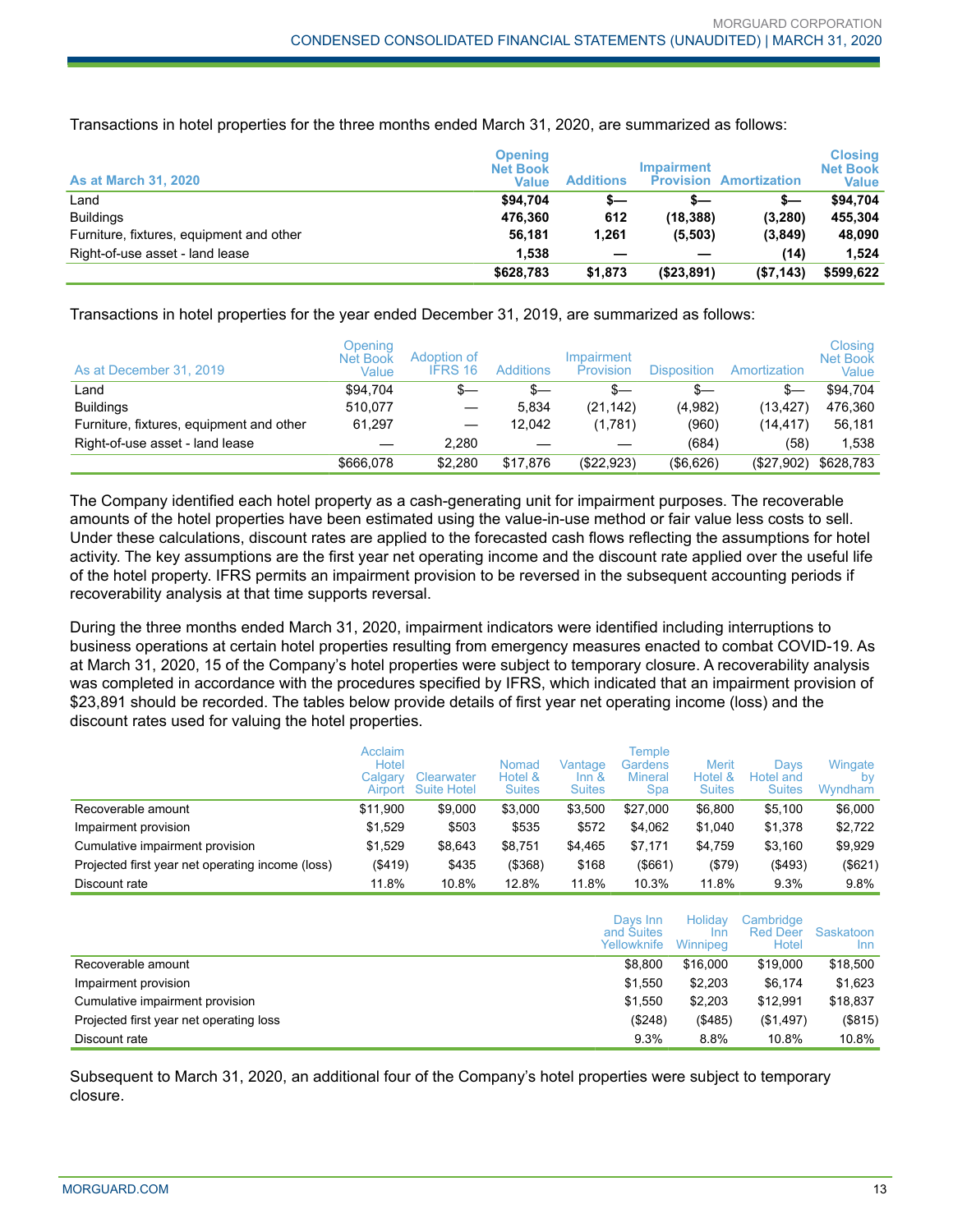Transactions in hotel properties for the three months ended March 31, 2020, are summarized as follows:

| <b>As at March 31, 2020</b>              | Openina<br><b>Net Book</b><br>Value | <b>Additions</b> | <b>Impairment</b> | <b>Provision Amortization</b> | <b>Closing</b><br><b>Net Book</b><br>Value |
|------------------------------------------|-------------------------------------|------------------|-------------------|-------------------------------|--------------------------------------------|
| Land                                     | \$94.704                            | s—               | s—                | s—                            | \$94.704                                   |
| <b>Buildings</b>                         | 476.360                             | 612              | (18, 388)         | (3, 280)                      | 455.304                                    |
| Furniture, fixtures, equipment and other | 56.181                              | 1,261            | (5,503)           | (3,849)                       | 48,090                                     |
| Right-of-use asset - land lease          | 1.538                               |                  |                   | (14)                          | 1,524                                      |
|                                          | \$628,783                           | \$1,873          | (\$23,891)        | (\$7,143)                     | \$599,622                                  |

Transactions in hotel properties for the year ended December 31, 2019, are summarized as follows:

| As at December 31, 2019                  | Opening<br><b>Net Book</b><br>Value | Adoption of<br><b>IFRS 16</b> | <b>Additions</b> | Impairment<br>Provision | <b>Disposition</b> | Amortization | Closing<br><b>Net Book</b><br>Value |
|------------------------------------------|-------------------------------------|-------------------------------|------------------|-------------------------|--------------------|--------------|-------------------------------------|
| Land                                     | \$94.704                            | \$—                           | $s-$             | s—                      | s—                 | $s-$         | \$94.704                            |
| <b>Buildings</b>                         | 510.077                             |                               | 5.834            | (21, 142)               | (4,982)            | (13,427)     | 476,360                             |
| Furniture, fixtures, equipment and other | 61.297                              |                               | 12.042           | (1,781)                 | (960)              | (14,417)     | 56.181                              |
| Right-of-use asset - land lease          |                                     | 2.280                         |                  |                         | (684)              | (58)         | 1.538                               |
|                                          | \$666.078                           | \$2.280                       | \$17.876         | (\$22,923)              | (\$6,626)          | (\$27,902)   | \$628,783                           |

The Company identified each hotel property as a cash-generating unit for impairment purposes. The recoverable amounts of the hotel properties have been estimated using the value-in-use method or fair value less costs to sell. Under these calculations, discount rates are applied to the forecasted cash flows reflecting the assumptions for hotel activity. The key assumptions are the first year net operating income and the discount rate applied over the useful life of the hotel property. IFRS permits an impairment provision to be reversed in the subsequent accounting periods if recoverability analysis at that time supports reversal.

During the three months ended March 31, 2020, impairment indicators were identified including interruptions to business operations at certain hotel properties resulting from emergency measures enacted to combat COVID-19. As at March 31, 2020, 15 of the Company's hotel properties were subject to temporary closure. A recoverability analysis was completed in accordance with the procedures specified by IFRS, which indicated that an impairment provision of \$23,891 should be recorded. The tables below provide details of first year net operating income (loss) and the discount rates used for valuing the hotel properties.

|                                                  | Acclaim<br>Hotel<br>Calgary<br>Airport | Clearwater<br><b>Suite Hotel</b> | Nomad<br>Hotel &<br><b>Suites</b> | Vantage<br>$Inn$ &<br><b>Suites</b> | Temple<br>Gardens<br><b>Mineral</b><br><b>Spa</b> | Merit<br>Hotel &<br><b>Suites</b> | Davs<br>Hotel and<br><b>Suites</b> | Wingate<br>bv<br>Wyndham |
|--------------------------------------------------|----------------------------------------|----------------------------------|-----------------------------------|-------------------------------------|---------------------------------------------------|-----------------------------------|------------------------------------|--------------------------|
| Recoverable amount                               | \$11.900                               | \$9,000                          | \$3,000                           | \$3,500                             | \$27,000                                          | \$6,800                           | \$5,100                            | \$6,000                  |
| Impairment provision                             | \$1,529                                | \$503                            | \$535                             | \$572                               | \$4.062                                           | \$1.040                           | \$1,378                            | \$2,722                  |
| Cumulative impairment provision                  | \$1,529                                | \$8.643                          | \$8,751                           | \$4.465                             | \$7.171                                           | \$4,759                           | \$3,160                            | \$9,929                  |
| Projected first year net operating income (loss) | (\$419)                                | \$435                            | (\$368)                           | \$168                               | (\$661)                                           | (\$79)                            | ( \$493)                           | $($ \$621)               |
| Discount rate                                    | 11.8%                                  | 10.8%                            | 12.8%                             | 11.8%                               | 10.3%                                             | 11.8%                             | 9.3%                               | 9.8%                     |

|                                         | Davs Inn<br>and Suites<br>Yellowknife | Holidav<br>Inn<br>Winnipeg | Cambridge<br><b>Red Deer</b><br>Hotel | Saskatoon<br>Inn |
|-----------------------------------------|---------------------------------------|----------------------------|---------------------------------------|------------------|
| Recoverable amount                      | \$8.800                               | \$16,000                   | \$19,000                              | \$18,500         |
| Impairment provision                    | \$1.550                               | \$2,203                    | \$6,174                               | \$1,623          |
| Cumulative impairment provision         | \$1.550                               | \$2.203                    | \$12.991                              | \$18,837         |
| Projected first year net operating loss | (\$248)                               | (\$485)                    | (\$1,497)                             | (\$815)          |
| Discount rate                           | 9.3%                                  | 8.8%                       | 10.8%                                 | 10.8%            |

Subsequent to March 31, 2020, an additional four of the Company's hotel properties were subject to temporary closure.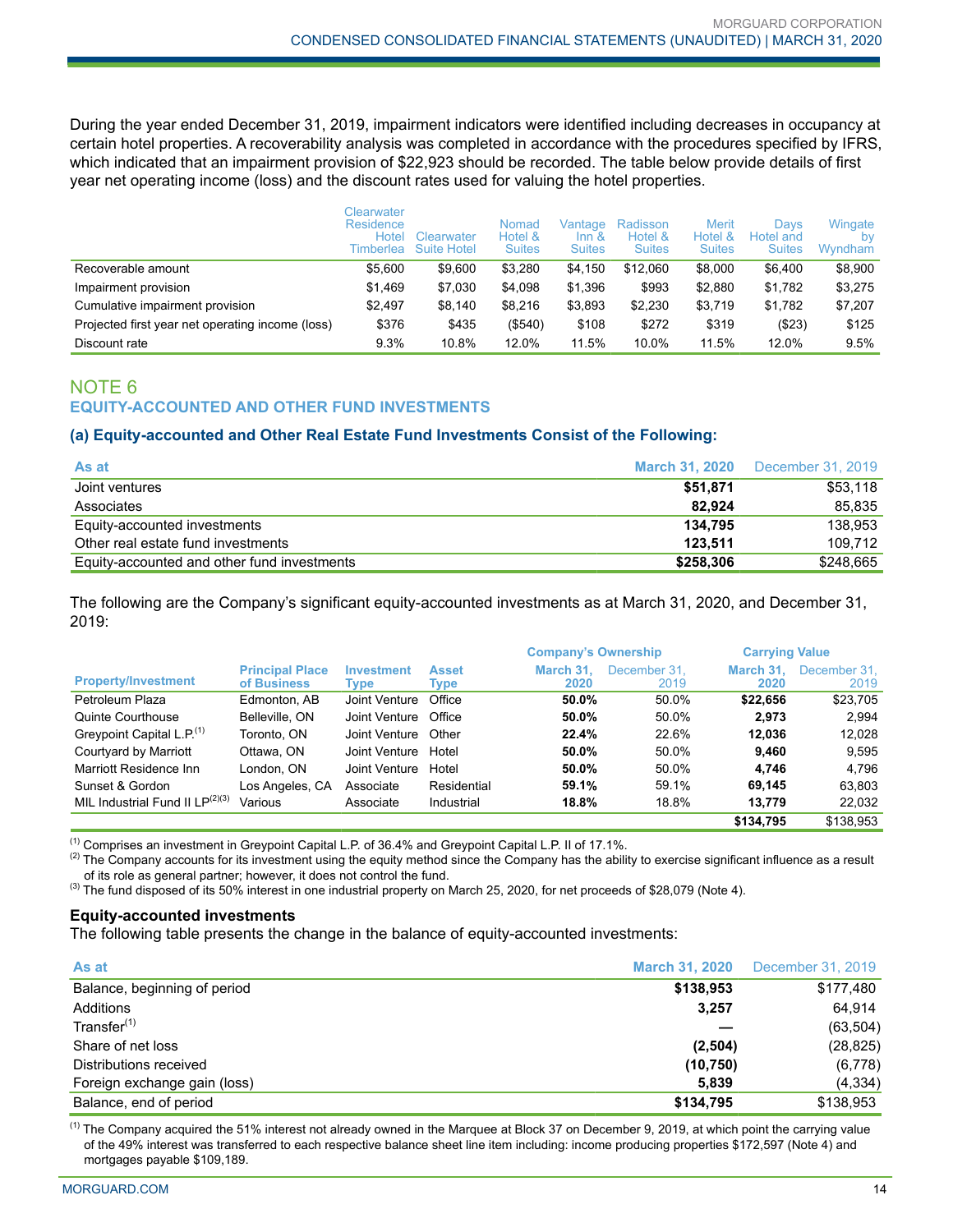During the year ended December 31, 2019, impairment indicators were identified including decreases in occupancy at certain hotel properties. A recoverability analysis was completed in accordance with the procedures specified by IFRS, which indicated that an impairment provision of \$22,923 should be recorded. The table below provide details of first year net operating income (loss) and the discount rates used for valuing the hotel properties.

|                                                  | Clearwater<br>Residence<br>Hotel<br>Timberlea | Clearwater<br><b>Suite Hotel</b> | Nomad<br>Hotel &<br><b>Suites</b> | Vantage<br>$Inn$ &<br><b>Suites</b> | Radisson<br>Hotel &<br><b>Suites</b> | <b>Merit</b><br>Hotel &<br><b>Suites</b> | <b>Davs</b><br>Hotel and<br><b>Suites</b> | Wingate<br>bv<br>Wyndham |
|--------------------------------------------------|-----------------------------------------------|----------------------------------|-----------------------------------|-------------------------------------|--------------------------------------|------------------------------------------|-------------------------------------------|--------------------------|
| Recoverable amount                               | \$5,600                                       | \$9,600                          | \$3,280                           | \$4.150                             | \$12,060                             | \$8,000                                  | \$6.400                                   | \$8,900                  |
| Impairment provision                             | \$1,469                                       | \$7,030                          | \$4,098                           | \$1,396                             | \$993                                | \$2,880                                  | \$1,782                                   | \$3,275                  |
| Cumulative impairment provision                  | \$2.497                                       | \$8,140                          | \$8,216                           | \$3,893                             | \$2,230                              | \$3,719                                  | \$1,782                                   | \$7,207                  |
| Projected first year net operating income (loss) | \$376                                         | \$435                            | ( \$540)                          | \$108                               | \$272                                | \$319                                    | (\$23)                                    | \$125                    |
| Discount rate                                    | 9.3%                                          | 10.8%                            | 12.0%                             | 11.5%                               | 10.0%                                | 11.5%                                    | 12.0%                                     | 9.5%                     |

## NOTE 6 **EQUITY-ACCOUNTED AND OTHER FUND INVESTMENTS**

#### **(a) Equity-accounted and Other Real Estate Fund Investments Consist of the Following:**

| As at                                       | <b>March 31, 2020</b> | December 31, 2019 |
|---------------------------------------------|-----------------------|-------------------|
| Joint ventures                              | \$51.871              | \$53.118          |
| Associates                                  | 82.924                | 85.835            |
| Equity-accounted investments                | 134.795               | 138.953           |
| Other real estate fund investments          | 123.511               | 109.712           |
| Equity-accounted and other fund investments | \$258,306             | \$248,665         |

The following are the Company's significant equity-accounted investments as at March 31, 2020, and December 31, 2019:

|                                       |                                       |                    |                             | <b>Company's Ownership</b> |                      | <b>Carrying Value</b> |                      |
|---------------------------------------|---------------------------------------|--------------------|-----------------------------|----------------------------|----------------------|-----------------------|----------------------|
| <b>Property/Investment</b>            | <b>Principal Place</b><br>of Business | Investment<br>Type | <b>Asset</b><br><b>Type</b> | March 31.<br>2020          | December 31.<br>2019 | March 31.<br>2020     | December 31.<br>2019 |
| Petroleum Plaza                       | Edmonton, AB                          | Joint Venture      | Office                      | 50.0%                      | 50.0%                | \$22.656              | \$23,705             |
| Quinte Courthouse                     | Belleville, ON                        | Joint Venture      | Office                      | 50.0%                      | 50.0%                | 2.973                 | 2.994                |
| Greypoint Capital L.P. <sup>(1)</sup> | Toronto, ON                           | Joint Venture      | Other                       | 22.4%                      | 22.6%                | 12.036                | 12.028               |
| Courtyard by Marriott                 | Ottawa, ON                            | Joint Venture      | Hotel                       | 50.0%                      | 50.0%                | 9.460                 | 9,595                |
| Marriott Residence Inn                | London, ON                            | Joint Venture      | Hotel                       | 50.0%                      | 50.0%                | 4.746                 | 4,796                |
| Sunset & Gordon                       | Los Angeles, CA                       | Associate          | Residential                 | 59.1%                      | 59.1%                | 69.145                | 63.803               |
| MIL Industrial Fund II $LP^{(2)(3)}$  | Various                               | Associate          | Industrial                  | 18.8%                      | 18.8%                | 13.779                | 22.032               |
|                                       |                                       |                    |                             |                            |                      | \$134.795             | \$138,953            |

(1) Comprises an investment in Greypoint Capital L.P. of 36.4% and Greypoint Capital L.P. II of 17.1%.

 $^{(2)}$  The Company accounts for its investment using the equity method since the Company has the ability to exercise significant influence as a result of its role as general partner; however, it does not control the fund.

<sup>(3)</sup> The fund disposed of its 50% interest in one industrial property on March 25, 2020, for net proceeds of \$28,079 (Note 4).

#### **Equity-accounted investments**

The following table presents the change in the balance of equity-accounted investments:

| As at                        | <b>March 31, 2020</b> | December 31, 2019 |
|------------------------------|-----------------------|-------------------|
| Balance, beginning of period | \$138,953             | \$177,480         |
| Additions                    | 3,257                 | 64.914            |
| Transfer <sup>(1)</sup>      |                       | (63, 504)         |
| Share of net loss            | (2,504)               | (28, 825)         |
| Distributions received       | (10, 750)             | (6,778)           |
| Foreign exchange gain (loss) | 5,839                 | (4, 334)          |
| Balance, end of period       | \$134,795             | \$138,953         |

 $<sup>(1)</sup>$  The Company acquired the 51% interest not already owned in the Marquee at Block 37 on December 9, 2019, at which point the carrying value</sup> of the 49% interest was transferred to each respective balance sheet line item including: income producing properties \$172,597 (Note 4) and mortgages payable \$109,189.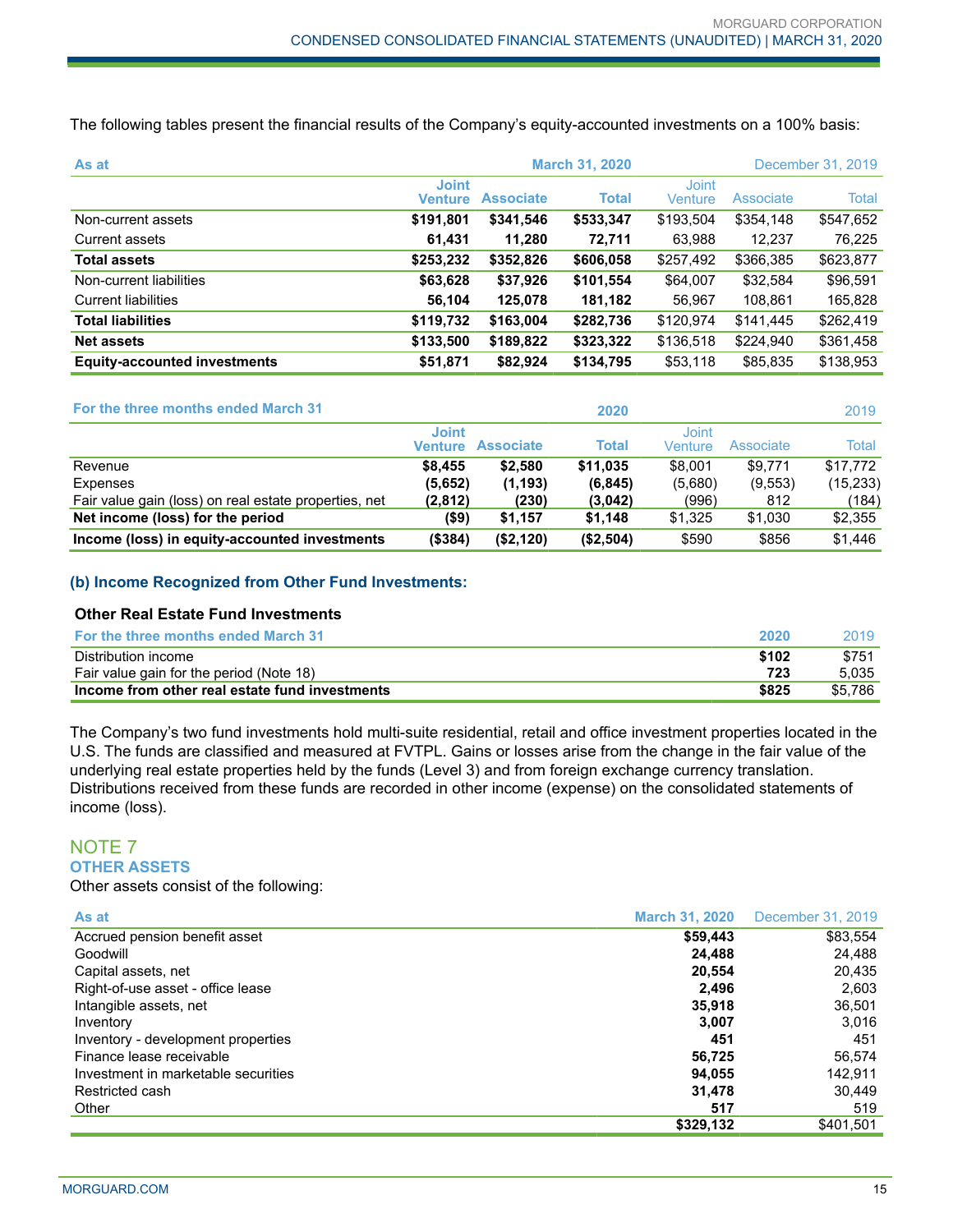The following tables present the financial results of the Company's equity-accounted investments on a 100% basis:

| As at                               | <b>March 31, 2020</b><br>December 31, 2019 |                  |              |                  |                  |           |
|-------------------------------------|--------------------------------------------|------------------|--------------|------------------|------------------|-----------|
|                                     | <b>Joint</b><br>Venture                    | <b>Associate</b> | <b>Total</b> | Joint<br>Venture | <b>Associate</b> | Total     |
| Non-current assets                  | \$191,801                                  | \$341,546        | \$533,347    | \$193,504        | \$354,148        | \$547,652 |
| Current assets                      | 61,431                                     | 11,280           | 72,711       | 63,988           | 12,237           | 76,225    |
| <b>Total assets</b>                 | \$253,232                                  | \$352,826        | \$606,058    | \$257,492        | \$366,385        | \$623,877 |
| Non-current liabilities             | \$63,628                                   | \$37,926         | \$101,554    | \$64,007         | \$32,584         | \$96,591  |
| <b>Current liabilities</b>          | 56,104                                     | 125,078          | 181,182      | 56,967           | 108,861          | 165,828   |
| <b>Total liabilities</b>            | \$119,732                                  | \$163,004        | \$282,736    | \$120,974        | \$141,445        | \$262,419 |
| <b>Net assets</b>                   | \$133,500                                  | \$189,822        | \$323,322    | \$136,518        | \$224,940        | \$361,458 |
| <b>Equity-accounted investments</b> | \$51,871                                   | \$82,924         | \$134,795    | \$53,118         | \$85,835         | \$138,953 |

| For the three months ended March 31                   |                         |                  | 2020         |                  |           | 2019      |
|-------------------------------------------------------|-------------------------|------------------|--------------|------------------|-----------|-----------|
|                                                       | <b>Joint</b><br>Venture | <b>Associate</b> | <b>Total</b> | Joint<br>Venture | Associate | Total     |
| Revenue                                               | \$8.455                 | \$2.580          | \$11.035     | \$8,001          | \$9.771   | \$17.772  |
| Expenses                                              | (5,652)                 | (1, 193)         | (6, 845)     | (5,680)          | (9, 553)  | (15, 233) |
| Fair value gain (loss) on real estate properties, net | (2,812)                 | (230)            | (3,042)      | (996)            | 812       | (184)     |
| Net income (loss) for the period                      | (\$9)                   | \$1,157          | \$1,148      | \$1,325          | \$1,030   | \$2,355   |
| Income (loss) in equity-accounted investments         | (\$384)                 | (\$2,120)        | (\$2,504)    | \$590            | \$856     | \$1,446   |

## **(b) Income Recognized from Other Fund Investments:**

#### **Other Real Estate Fund Investments**

| <b>For the three months ended March 31</b>     | 2020  | 2019    |
|------------------------------------------------|-------|---------|
| Distribution income                            | \$102 | \$751   |
| Fair value gain for the period (Note 18)       | 723   | 5.035   |
| Income from other real estate fund investments | \$825 | \$5.786 |

The Company's two fund investments hold multi-suite residential, retail and office investment properties located in the U.S. The funds are classified and measured at FVTPL. Gains or losses arise from the change in the fair value of the underlying real estate properties held by the funds (Level 3) and from foreign exchange currency translation. Distributions received from these funds are recorded in other income (expense) on the consolidated statements of income (loss).

## NOTE 7 **OTHER ASSETS**

Other assets consist of the following:

| As at                               | <b>March 31, 2020</b> | December 31, 2019 |
|-------------------------------------|-----------------------|-------------------|
| Accrued pension benefit asset       | \$59,443              | \$83,554          |
| Goodwill                            | 24.488                | 24,488            |
| Capital assets, net                 | 20.554                | 20,435            |
| Right-of-use asset - office lease   | 2.496                 | 2.603             |
| Intangible assets, net              | 35,918                | 36.501            |
| Inventory                           | 3,007                 | 3.016             |
| Inventory - development properties  | 451                   | 451               |
| Finance lease receivable            | 56,725                | 56,574            |
| Investment in marketable securities | 94,055                | 142,911           |
| Restricted cash                     | 31,478                | 30.449            |
| Other                               | 517                   | 519               |
|                                     | \$329,132             | \$401.501         |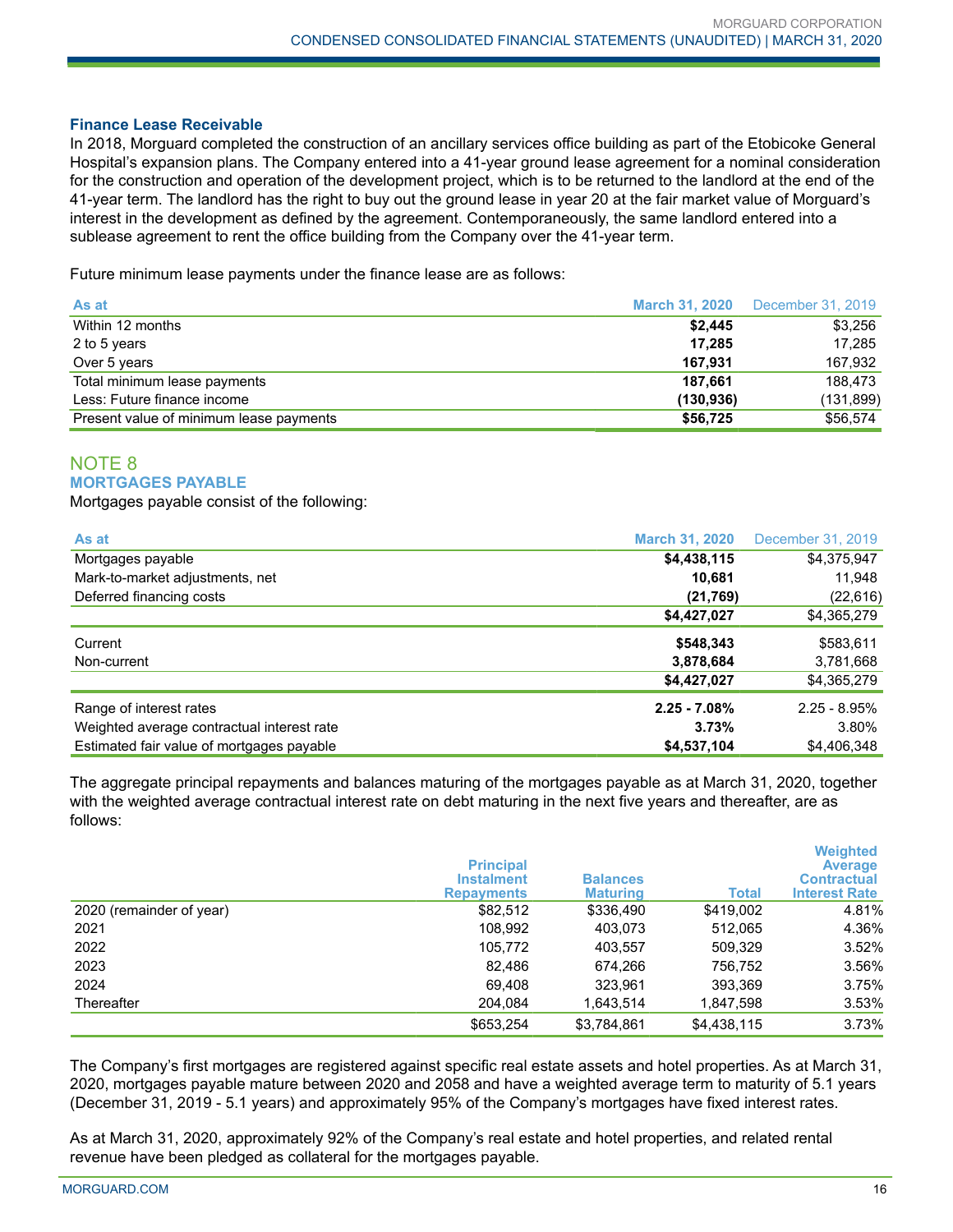#### **Finance Lease Receivable**

In 2018, Morguard completed the construction of an ancillary services office building as part of the Etobicoke General Hospital's expansion plans. The Company entered into a 41-year ground lease agreement for a nominal consideration for the construction and operation of the development project, which is to be returned to the landlord at the end of the 41-year term. The landlord has the right to buy out the ground lease in year 20 at the fair market value of Morguard's interest in the development as defined by the agreement. Contemporaneously, the same landlord entered into a sublease agreement to rent the office building from the Company over the 41-year term.

Future minimum lease payments under the finance lease are as follows:

| As at                                   | <b>March 31, 2020</b> | December 31, 2019 |
|-----------------------------------------|-----------------------|-------------------|
| Within 12 months                        | \$2,445               | \$3,256           |
| 2 to 5 years                            | 17.285                | 17.285            |
| Over 5 years                            | 167.931               | 167.932           |
| Total minimum lease payments            | 187.661               | 188.473           |
| Less: Future finance income             | (130, 936)            | (131, 899)        |
| Present value of minimum lease payments | \$56,725              | \$56,574          |

## NOTE 8 **MORTGAGES PAYABLE**

Mortgages payable consist of the following:

| As at                                      | <b>March 31, 2020</b> | December 31, 2019 |
|--------------------------------------------|-----------------------|-------------------|
| Mortgages payable                          | \$4,438,115           | \$4,375,947       |
| Mark-to-market adjustments, net            | 10,681                | 11,948            |
| Deferred financing costs                   | (21,769)              | (22, 616)         |
|                                            | \$4,427,027           | \$4,365,279       |
| Current                                    | \$548,343             | \$583,611         |
| Non-current                                | 3,878,684             | 3,781,668         |
|                                            | \$4,427,027           | \$4,365,279       |
| Range of interest rates                    | $2.25 - 7.08%$        | $2.25 - 8.95\%$   |
| Weighted average contractual interest rate | 3.73%                 | 3.80%             |
| Estimated fair value of mortgages payable  | \$4,537,104           | \$4,406,348       |

The aggregate principal repayments and balances maturing of the mortgages payable as at March 31, 2020, together with the weighted average contractual interest rate on debt maturing in the next five years and thereafter, are as follows:

|                          | <b>Principal</b><br><b>Instalment</b><br><b>Repayments</b> | <b>Balances</b><br><b>Maturing</b> | Total       | <b>Weighted</b><br><b>Average</b><br><b>Contractual</b><br><b>Interest Rate</b> |
|--------------------------|------------------------------------------------------------|------------------------------------|-------------|---------------------------------------------------------------------------------|
| 2020 (remainder of year) | \$82,512                                                   | \$336,490                          | \$419,002   | 4.81%                                                                           |
| 2021                     | 108,992                                                    | 403,073                            | 512,065     | 4.36%                                                                           |
| 2022                     | 105.772                                                    | 403,557                            | 509.329     | 3.52%                                                                           |
| 2023                     | 82,486                                                     | 674,266                            | 756,752     | 3.56%                                                                           |
| 2024                     | 69,408                                                     | 323,961                            | 393,369     | 3.75%                                                                           |
| Thereafter               | 204.084                                                    | 1,643,514                          | 1,847,598   | 3.53%                                                                           |
|                          | \$653,254                                                  | \$3,784,861                        | \$4,438,115 | 3.73%                                                                           |

The Company's first mortgages are registered against specific real estate assets and hotel properties. As at March 31, 2020, mortgages payable mature between 2020 and 2058 and have a weighted average term to maturity of 5.1 years (December 31, 2019 - 5.1 years) and approximately 95% of the Company's mortgages have fixed interest rates.

As at March 31, 2020, approximately 92% of the Company's real estate and hotel properties, and related rental revenue have been pledged as collateral for the mortgages payable.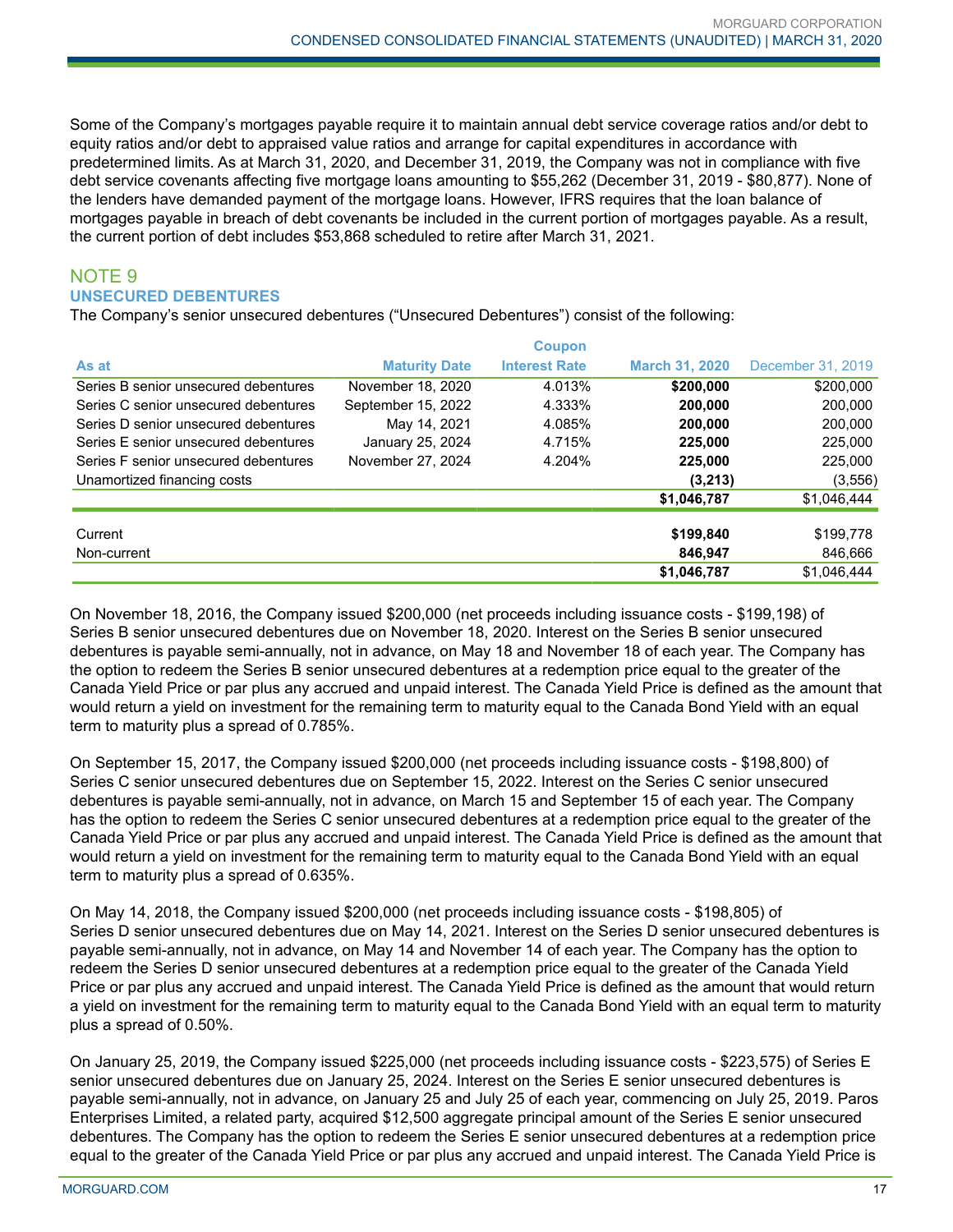Some of the Company's mortgages payable require it to maintain annual debt service coverage ratios and/or debt to equity ratios and/or debt to appraised value ratios and arrange for capital expenditures in accordance with predetermined limits. As at March 31, 2020, and December 31, 2019, the Company was not in compliance with five debt service covenants affecting five mortgage loans amounting to \$55,262 (December 31, 2019 - \$80,877). None of the lenders have demanded payment of the mortgage loans. However, IFRS requires that the loan balance of mortgages payable in breach of debt covenants be included in the current portion of mortgages payable. As a result, the current portion of debt includes \$53,868 scheduled to retire after March 31, 2021.

## NOTE 9 **UNSECURED DEBENTURES**

The Company's senior unsecured debentures ("Unsecured Debentures") consist of the following:

|                                      |                      | <b>Coupon</b>        |                       |                   |
|--------------------------------------|----------------------|----------------------|-----------------------|-------------------|
| As at                                | <b>Maturity Date</b> | <b>Interest Rate</b> | <b>March 31, 2020</b> | December 31, 2019 |
| Series B senior unsecured debentures | November 18, 2020    | 4.013%               | \$200,000             | \$200,000         |
| Series C senior unsecured debentures | September 15, 2022   | 4.333%               | 200.000               | 200,000           |
| Series D senior unsecured debentures | May 14, 2021         | 4.085%               | 200.000               | 200,000           |
| Series E senior unsecured debentures | January 25, 2024     | 4.715%               | 225.000               | 225,000           |
| Series F senior unsecured debentures | November 27, 2024    | 4.204%               | 225,000               | 225,000           |
| Unamortized financing costs          |                      |                      | (3,213)               | (3, 556)          |
|                                      |                      |                      | \$1,046,787           | \$1,046,444       |
|                                      |                      |                      |                       |                   |
| Current                              |                      |                      | \$199,840             | \$199,778         |
| Non-current                          |                      |                      | 846.947               | 846.666           |
|                                      |                      |                      | \$1,046,787           | \$1.046.444       |

On November 18, 2016, the Company issued \$200,000 (net proceeds including issuance costs - \$199,198) of Series B senior unsecured debentures due on November 18, 2020. Interest on the Series B senior unsecured debentures is payable semi-annually, not in advance, on May 18 and November 18 of each year. The Company has the option to redeem the Series B senior unsecured debentures at a redemption price equal to the greater of the Canada Yield Price or par plus any accrued and unpaid interest. The Canada Yield Price is defined as the amount that would return a yield on investment for the remaining term to maturity equal to the Canada Bond Yield with an equal term to maturity plus a spread of 0.785%.

On September 15, 2017, the Company issued \$200,000 (net proceeds including issuance costs - \$198,800) of Series C senior unsecured debentures due on September 15, 2022. Interest on the Series C senior unsecured debentures is payable semi-annually, not in advance, on March 15 and September 15 of each year. The Company has the option to redeem the Series C senior unsecured debentures at a redemption price equal to the greater of the Canada Yield Price or par plus any accrued and unpaid interest. The Canada Yield Price is defined as the amount that would return a yield on investment for the remaining term to maturity equal to the Canada Bond Yield with an equal term to maturity plus a spread of 0.635%.

On May 14, 2018, the Company issued \$200,000 (net proceeds including issuance costs - \$198,805) of Series D senior unsecured debentures due on May 14, 2021. Interest on the Series D senior unsecured debentures is payable semi-annually, not in advance, on May 14 and November 14 of each year. The Company has the option to redeem the Series D senior unsecured debentures at a redemption price equal to the greater of the Canada Yield Price or par plus any accrued and unpaid interest. The Canada Yield Price is defined as the amount that would return a yield on investment for the remaining term to maturity equal to the Canada Bond Yield with an equal term to maturity plus a spread of 0.50%.

On January 25, 2019, the Company issued \$225,000 (net proceeds including issuance costs - \$223,575) of Series E senior unsecured debentures due on January 25, 2024. Interest on the Series E senior unsecured debentures is payable semi-annually, not in advance, on January 25 and July 25 of each year, commencing on July 25, 2019. Paros Enterprises Limited, a related party, acquired \$12,500 aggregate principal amount of the Series E senior unsecured debentures. The Company has the option to redeem the Series E senior unsecured debentures at a redemption price equal to the greater of the Canada Yield Price or par plus any accrued and unpaid interest. The Canada Yield Price is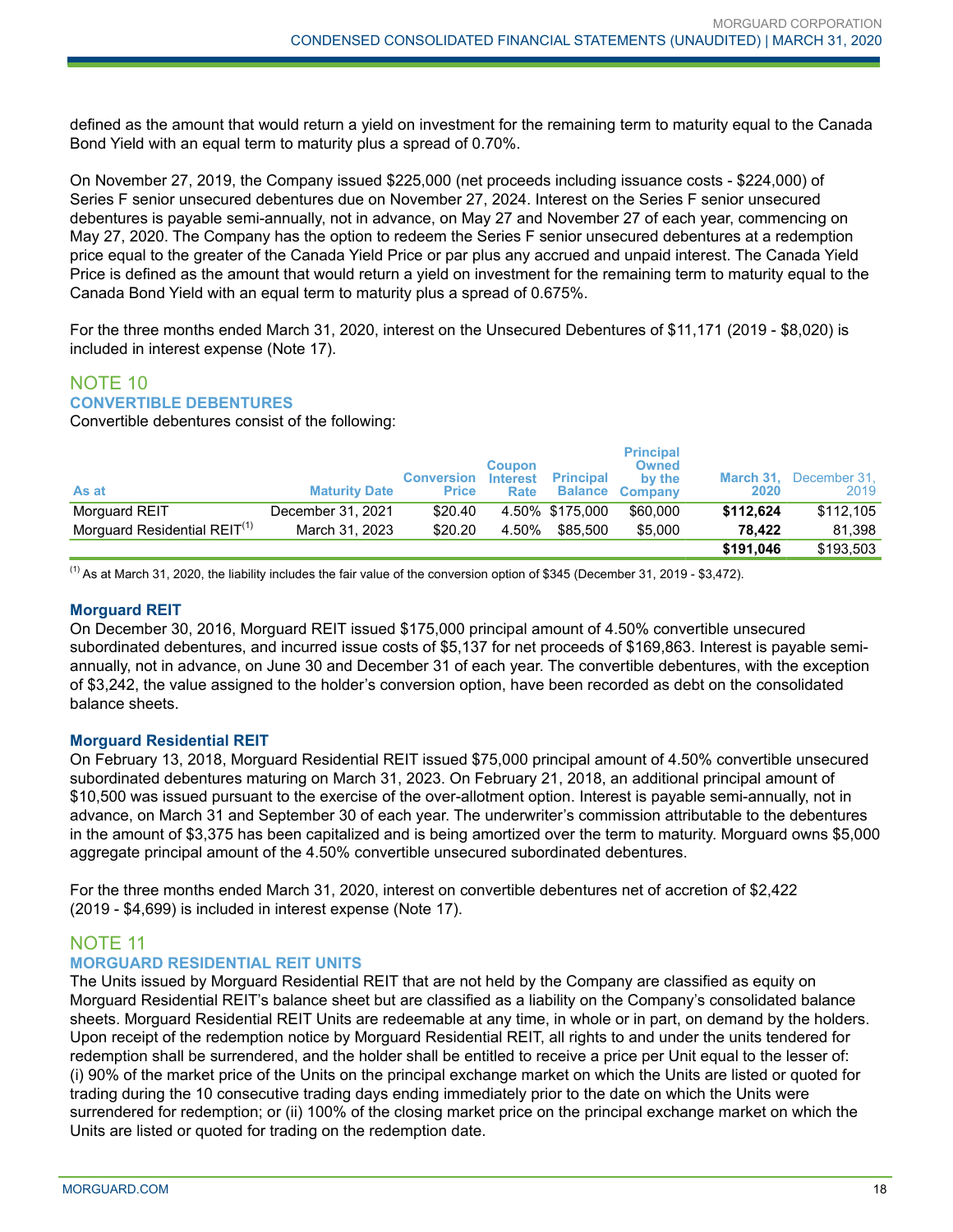defined as the amount that would return a yield on investment for the remaining term to maturity equal to the Canada Bond Yield with an equal term to maturity plus a spread of 0.70%.

On November 27, 2019, the Company issued \$225,000 (net proceeds including issuance costs - \$224,000) of Series F senior unsecured debentures due on November 27, 2024. Interest on the Series F senior unsecured debentures is payable semi-annually, not in advance, on May 27 and November 27 of each year, commencing on May 27, 2020. The Company has the option to redeem the Series F senior unsecured debentures at a redemption price equal to the greater of the Canada Yield Price or par plus any accrued and unpaid interest. The Canada Yield Price is defined as the amount that would return a yield on investment for the remaining term to maturity equal to the Canada Bond Yield with an equal term to maturity plus a spread of 0.675%.

For the three months ended March 31, 2020, interest on the Unsecured Debentures of \$11,171 (2019 - \$8,020) is included in interest expense (Note 17).

## NOTE 10 **CONVERTIBLE DEBENTURES**

Convertible debentures consist of the following:

| As at                                    | <b>Maturity Date</b> | <b>Conversion</b><br><b>Price</b> | <b>Coupon</b><br><b>Interest</b><br>Rate | <b>Principal</b> | <b>Principal</b><br><b>Owned</b><br>by the<br><b>Balance Company</b> | March 31.<br>2020 | December 31,<br>2019 |
|------------------------------------------|----------------------|-----------------------------------|------------------------------------------|------------------|----------------------------------------------------------------------|-------------------|----------------------|
| Morguard REIT                            | December 31, 2021    | \$20.40                           |                                          | 4.50% \$175.000  | \$60,000                                                             | \$112.624         | \$112,105            |
| Morguard Residential REIT <sup>(1)</sup> | March 31, 2023       | \$20.20                           | 4.50%                                    | \$85.500         | \$5,000                                                              | 78.422            | 81.398               |
|                                          |                      |                                   |                                          |                  |                                                                      | \$191.046         | \$193.503            |

 $<sup>(1)</sup>$  As at March 31, 2020, the liability includes the fair value of the conversion option of \$345 (December 31, 2019 - \$3,472).</sup>

## **Morguard REIT**

On December 30, 2016, Morguard REIT issued \$175,000 principal amount of 4.50% convertible unsecured subordinated debentures, and incurred issue costs of \$5,137 for net proceeds of \$169,863. Interest is payable semiannually, not in advance, on June 30 and December 31 of each year. The convertible debentures, with the exception of \$3,242, the value assigned to the holder's conversion option, have been recorded as debt on the consolidated balance sheets.

## **Morguard Residential REIT**

On February 13, 2018, Morguard Residential REIT issued \$75,000 principal amount of 4.50% convertible unsecured subordinated debentures maturing on March 31, 2023. On February 21, 2018, an additional principal amount of \$10,500 was issued pursuant to the exercise of the over-allotment option. Interest is payable semi-annually, not in advance, on March 31 and September 30 of each year. The underwriter's commission attributable to the debentures in the amount of \$3,375 has been capitalized and is being amortized over the term to maturity. Morguard owns \$5,000 aggregate principal amount of the 4.50% convertible unsecured subordinated debentures.

For the three months ended March 31, 2020, interest on convertible debentures net of accretion of \$2,422 (2019 - \$4,699) is included in interest expense (Note 17).

## NOTE 11

## **MORGUARD RESIDENTIAL REIT UNITS**

The Units issued by Morguard Residential REIT that are not held by the Company are classified as equity on Morguard Residential REIT's balance sheet but are classified as a liability on the Company's consolidated balance sheets. Morguard Residential REIT Units are redeemable at any time, in whole or in part, on demand by the holders. Upon receipt of the redemption notice by Morguard Residential REIT, all rights to and under the units tendered for redemption shall be surrendered, and the holder shall be entitled to receive a price per Unit equal to the lesser of: (i) 90% of the market price of the Units on the principal exchange market on which the Units are listed or quoted for trading during the 10 consecutive trading days ending immediately prior to the date on which the Units were surrendered for redemption; or (ii) 100% of the closing market price on the principal exchange market on which the Units are listed or quoted for trading on the redemption date.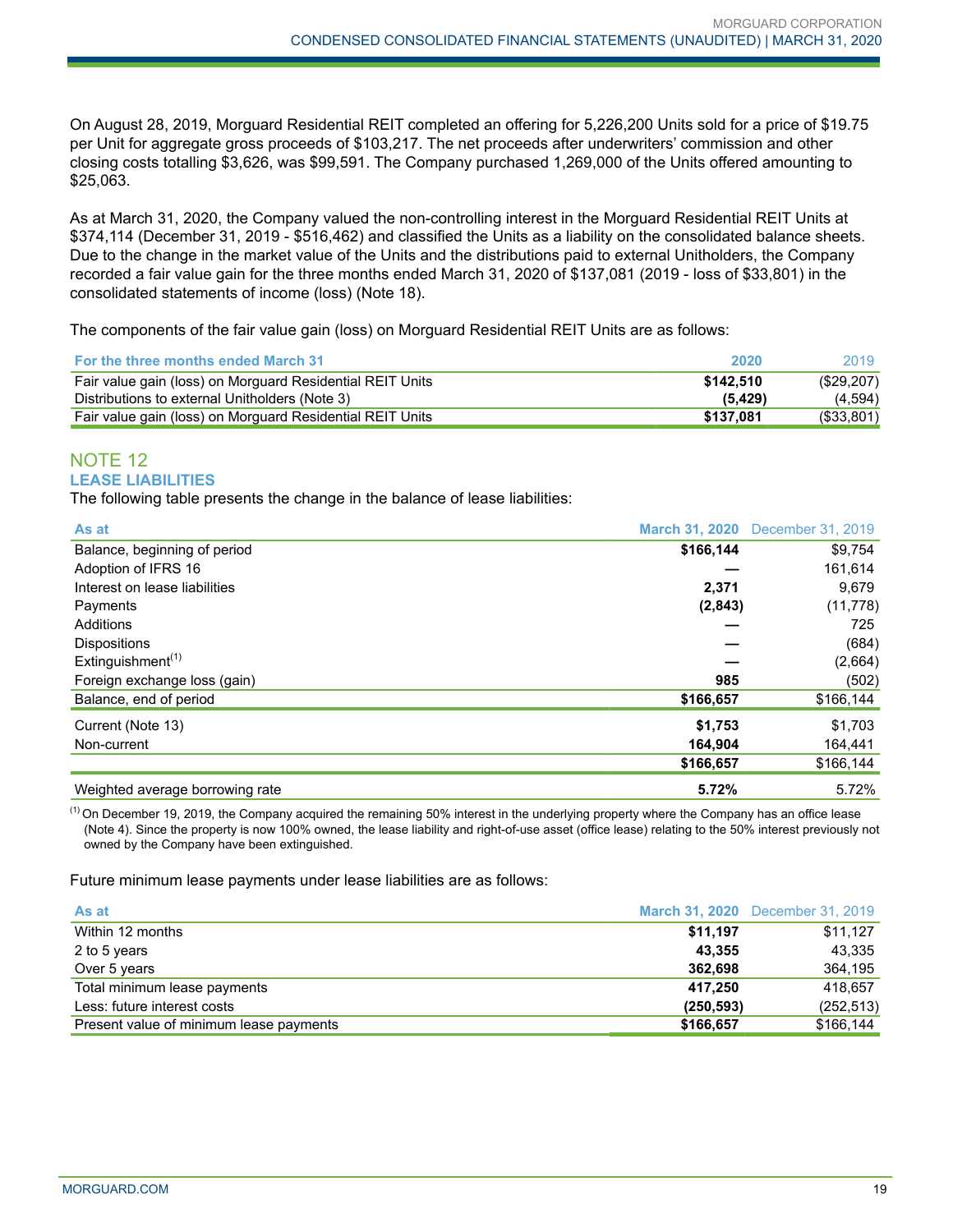On August 28, 2019, Morguard Residential REIT completed an offering for 5,226,200 Units sold for a price of \$19.75 per Unit for aggregate gross proceeds of \$103,217. The net proceeds after underwriters' commission and other closing costs totalling \$3,626, was \$99,591. The Company purchased 1,269,000 of the Units offered amounting to \$25,063.

As at March 31, 2020, the Company valued the non-controlling interest in the Morguard Residential REIT Units at \$374,114 (December 31, 2019 - \$516,462) and classified the Units as a liability on the consolidated balance sheets. Due to the change in the market value of the Units and the distributions paid to external Unitholders, the Company recorded a fair value gain for the three months ended March 31, 2020 of \$137,081 (2019 - loss of \$33,801) in the consolidated statements of income (loss) (Note 18).

The components of the fair value gain (loss) on Morguard Residential REIT Units are as follows:

| <b>For the three months ended March 31</b>                | 2020      | 2019       |
|-----------------------------------------------------------|-----------|------------|
| Fair value gain (loss) on Morguard Residential REIT Units | \$142.510 | (\$29,207) |
| Distributions to external Unitholders (Note 3)            | (5.429)   | (4,594)    |
| Fair value gain (loss) on Morguard Residential REIT Units | \$137.081 | (\$33,801) |

## NOTE 12 **LEASE LIABILITIES**

The following table presents the change in the balance of lease liabilities:

| As at                                      |           | March 31, 2020 December 31, 2019 |
|--------------------------------------------|-----------|----------------------------------|
| Balance, beginning of period               | \$166,144 | \$9,754                          |
| Adoption of IFRS 16                        |           | 161,614                          |
| Interest on lease liabilities              | 2,371     | 9,679                            |
| Payments                                   | (2,843)   | (11, 778)                        |
| Additions                                  |           | 725                              |
| <b>Dispositions</b>                        |           | (684)                            |
| Extinguishment <sup><math>(1)</math></sup> |           | (2,664)                          |
| Foreign exchange loss (gain)               | 985       | (502)                            |
| Balance, end of period                     | \$166,657 | \$166,144                        |
| Current (Note 13)                          | \$1,753   | \$1,703                          |
| Non-current                                | 164,904   | 164,441                          |
|                                            | \$166,657 | \$166,144                        |
| Weighted average borrowing rate            | 5.72%     | 5.72%                            |

 $<sup>(1)</sup>$  On December 19, 2019, the Company acquired the remaining 50% interest in the underlying property where the Company has an office lease</sup> (Note 4). Since the property is now 100% owned, the lease liability and right-of-use asset (office lease) relating to the 50% interest previously not owned by the Company have been extinguished.

Future minimum lease payments under lease liabilities are as follows:

| As at                                   |            | <b>March 31, 2020</b> December 31, 2019 |
|-----------------------------------------|------------|-----------------------------------------|
| Within 12 months                        | \$11,197   | \$11,127                                |
| 2 to 5 years                            | 43.355     | 43.335                                  |
| Over 5 years                            | 362.698    | 364,195                                 |
| Total minimum lease payments            | 417.250    | 418.657                                 |
| Less: future interest costs             | (250, 593) | (252, 513)                              |
| Present value of minimum lease payments | \$166,657  | \$166,144                               |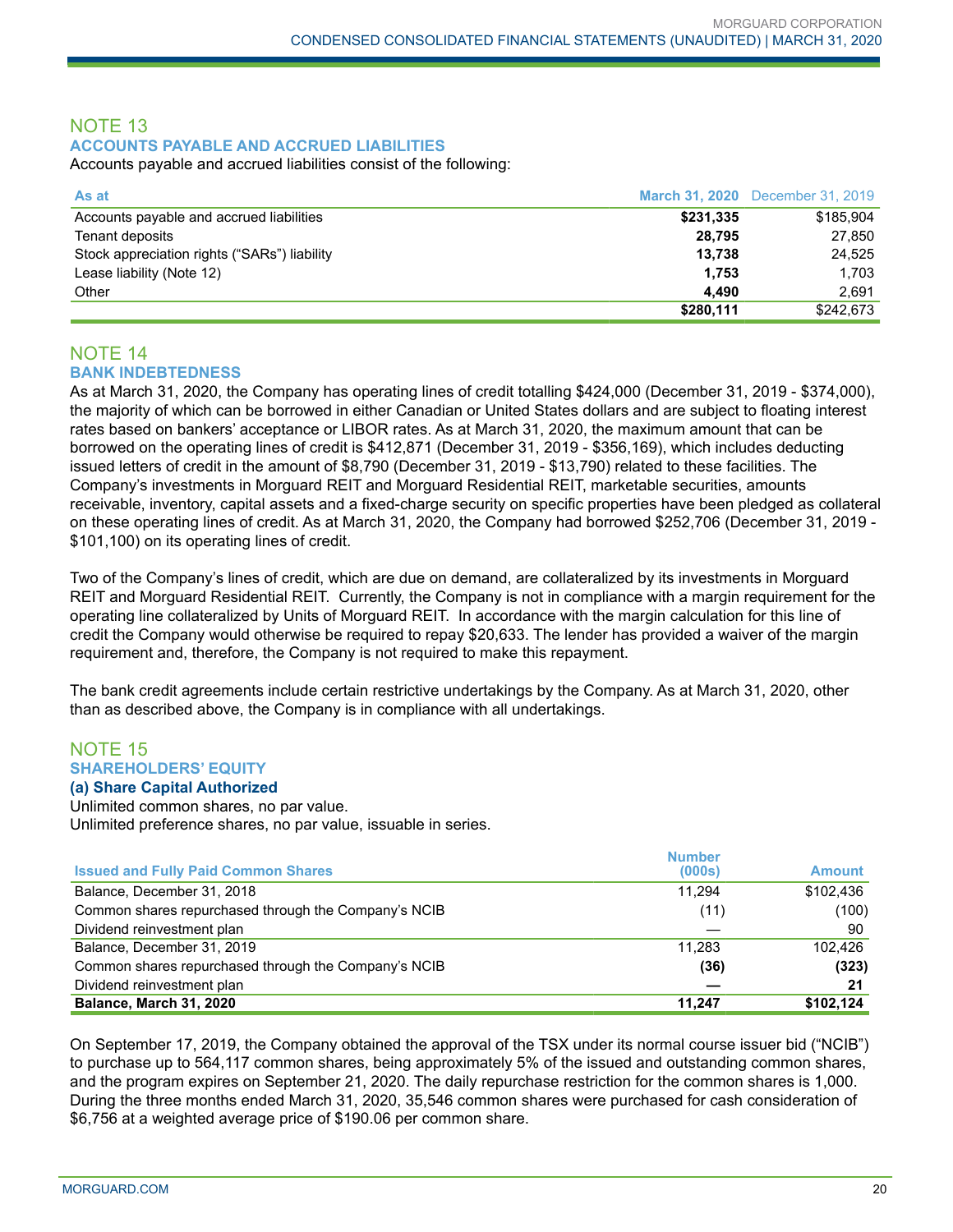## NOTE 13 **ACCOUNTS PAYABLE AND ACCRUED LIABILITIES**

Accounts payable and accrued liabilities consist of the following:

| As at                                        |           | <b>March 31, 2020</b> December 31, 2019 |
|----------------------------------------------|-----------|-----------------------------------------|
| Accounts payable and accrued liabilities     | \$231,335 | \$185,904                               |
| Tenant deposits                              | 28.795    | 27.850                                  |
| Stock appreciation rights ("SARs") liability | 13.738    | 24.525                                  |
| Lease liability (Note 12)                    | 1.753     | 1,703                                   |
| Other                                        | 4.490     | 2.691                                   |
|                                              | \$280,111 | \$242,673                               |

## NOTE 14 **BANK INDEBTEDNESS**

As at March 31, 2020, the Company has operating lines of credit totalling \$424,000 (December 31, 2019 - \$374,000), the majority of which can be borrowed in either Canadian or United States dollars and are subject to floating interest rates based on bankers' acceptance or LIBOR rates. As at March 31, 2020, the maximum amount that can be borrowed on the operating lines of credit is \$412,871 (December 31, 2019 - \$356,169), which includes deducting issued letters of credit in the amount of \$8,790 (December 31, 2019 - \$13,790) related to these facilities. The Company's investments in Morguard REIT and Morguard Residential REIT, marketable securities, amounts receivable, inventory, capital assets and a fixed-charge security on specific properties have been pledged as collateral on these operating lines of credit. As at March 31, 2020, the Company had borrowed \$252,706 (December 31, 2019 - \$101,100) on its operating lines of credit.

Two of the Company's lines of credit, which are due on demand, are collateralized by its investments in Morguard REIT and Morguard Residential REIT. Currently, the Company is not in compliance with a margin requirement for the operating line collateralized by Units of Morguard REIT. In accordance with the margin calculation for this line of credit the Company would otherwise be required to repay \$20,633. The lender has provided a waiver of the margin requirement and, therefore, the Company is not required to make this repayment.

The bank credit agreements include certain restrictive undertakings by the Company. As at March 31, 2020, other than as described above, the Company is in compliance with all undertakings.

## NOTE 15 **SHAREHOLDERS' EQUITY**

## **(a) Share Capital Authorized**

Unlimited common shares, no par value. Unlimited preference shares, no par value, issuable in series.

|                                                      | <b>Number</b> |               |
|------------------------------------------------------|---------------|---------------|
| <b>Issued and Fully Paid Common Shares</b>           | (000s)        | <b>Amount</b> |
| Balance, December 31, 2018                           | 11.294        | \$102,436     |
| Common shares repurchased through the Company's NCIB | (11)          | (100)         |
| Dividend reinvestment plan                           |               | 90            |
| Balance, December 31, 2019                           | 11.283        | 102.426       |
| Common shares repurchased through the Company's NCIB | (36)          | (323)         |
| Dividend reinvestment plan                           |               | 21            |
| Balance, March 31, 2020                              | 11,247        | \$102,124     |

On September 17, 2019, the Company obtained the approval of the TSX under its normal course issuer bid ("NCIB") to purchase up to 564,117 common shares, being approximately 5% of the issued and outstanding common shares, and the program expires on September 21, 2020. The daily repurchase restriction for the common shares is 1,000. During the three months ended March 31, 2020, 35,546 common shares were purchased for cash consideration of \$6,756 at a weighted average price of \$190.06 per common share.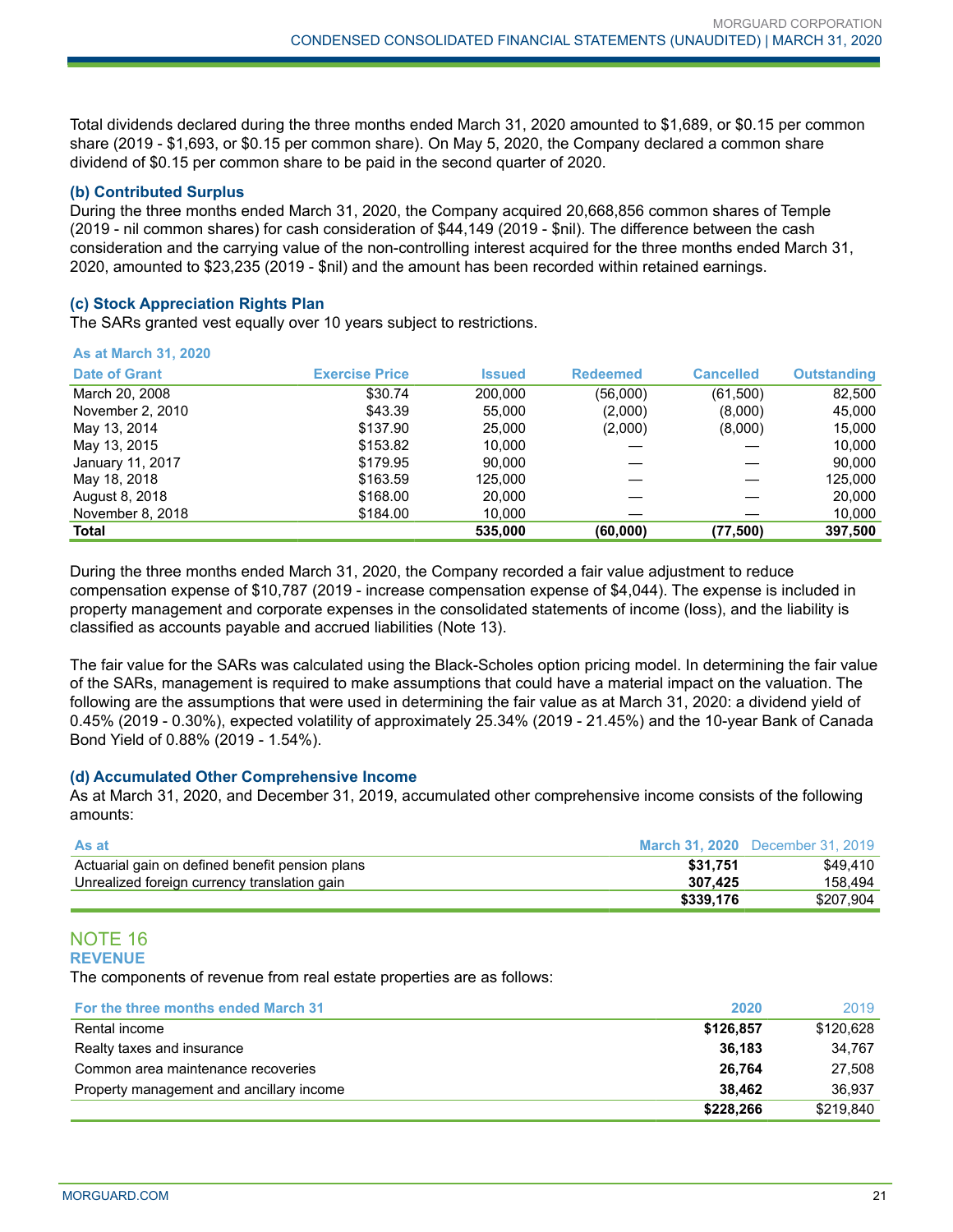Total dividends declared during the three months ended March 31, 2020 amounted to \$1,689, or \$0.15 per common share (2019 - \$1,693, or \$0.15 per common share). On May 5, 2020, the Company declared a common share dividend of \$0.15 per common share to be paid in the second quarter of 2020.

#### **(b) Contributed Surplus**

During the three months ended March 31, 2020, the Company acquired 20,668,856 common shares of Temple (2019 - nil common shares) for cash consideration of \$44,149 (2019 - \$nil). The difference between the cash consideration and the carrying value of the non-controlling interest acquired for the three months ended March 31, 2020, amounted to \$23,235 (2019 - \$nil) and the amount has been recorded within retained earnings.

#### **(c) Stock Appreciation Rights Plan**

The SARs granted vest equally over 10 years subject to restrictions.

| <b>As at March 31, 2020</b> |                       |               |                 |                  |                    |
|-----------------------------|-----------------------|---------------|-----------------|------------------|--------------------|
| <b>Date of Grant</b>        | <b>Exercise Price</b> | <b>Issued</b> | <b>Redeemed</b> | <b>Cancelled</b> | <b>Outstanding</b> |
| March 20, 2008              | \$30.74               | 200.000       | (56,000)        | (61,500)         | 82,500             |
| November 2, 2010            | \$43.39               | 55,000        | (2,000)         | (8,000)          | 45,000             |
| May 13, 2014                | \$137.90              | 25,000        | (2,000)         | (8,000)          | 15,000             |
| May 13, 2015                | \$153.82              | 10.000        |                 |                  | 10.000             |
| January 11, 2017            | \$179.95              | 90.000        |                 |                  | 90,000             |
| May 18, 2018                | \$163.59              | 125.000       |                 |                  | 125.000            |
| August 8, 2018              | \$168.00              | 20,000        |                 |                  | 20,000             |
| November 8, 2018            | \$184.00              | 10,000        |                 |                  | 10,000             |
| <b>Total</b>                |                       | 535.000       | (60,000)        | (77, 500)        | 397,500            |

During the three months ended March 31, 2020, the Company recorded a fair value adjustment to reduce compensation expense of \$10,787 (2019 - increase compensation expense of \$4,044). The expense is included in property management and corporate expenses in the consolidated statements of income (loss), and the liability is classified as accounts payable and accrued liabilities (Note 13).

The fair value for the SARs was calculated using the Black-Scholes option pricing model. In determining the fair value of the SARs, management is required to make assumptions that could have a material impact on the valuation. The following are the assumptions that were used in determining the fair value as at March 31, 2020: a dividend yield of 0.45% (2019 - 0.30%), expected volatility of approximately 25.34% (2019 - 21.45%) and the 10-year Bank of Canada Bond Yield of 0.88% (2019 - 1.54%).

## **(d) Accumulated Other Comprehensive Income**

As at March 31, 2020, and December 31, 2019, accumulated other comprehensive income consists of the following amounts:

| <b>As at</b>                                    |           | <b>March 31, 2020</b> December 31, 2019 |
|-------------------------------------------------|-----------|-----------------------------------------|
| Actuarial gain on defined benefit pension plans | \$31.751  | \$49.410                                |
| Unrealized foreign currency translation gain    | 307.425   | 158.494                                 |
|                                                 | \$339.176 | \$207.904                               |

#### NOTE 16 **REVENUE**

The components of revenue from real estate properties are as follows:

| For the three months ended March 31      | 2020      | 2019      |
|------------------------------------------|-----------|-----------|
| Rental income                            | \$126,857 | \$120,628 |
| Realty taxes and insurance               | 36.183    | 34.767    |
| Common area maintenance recoveries       | 26.764    | 27.508    |
| Property management and ancillary income | 38.462    | 36.937    |
|                                          | \$228,266 | \$219.840 |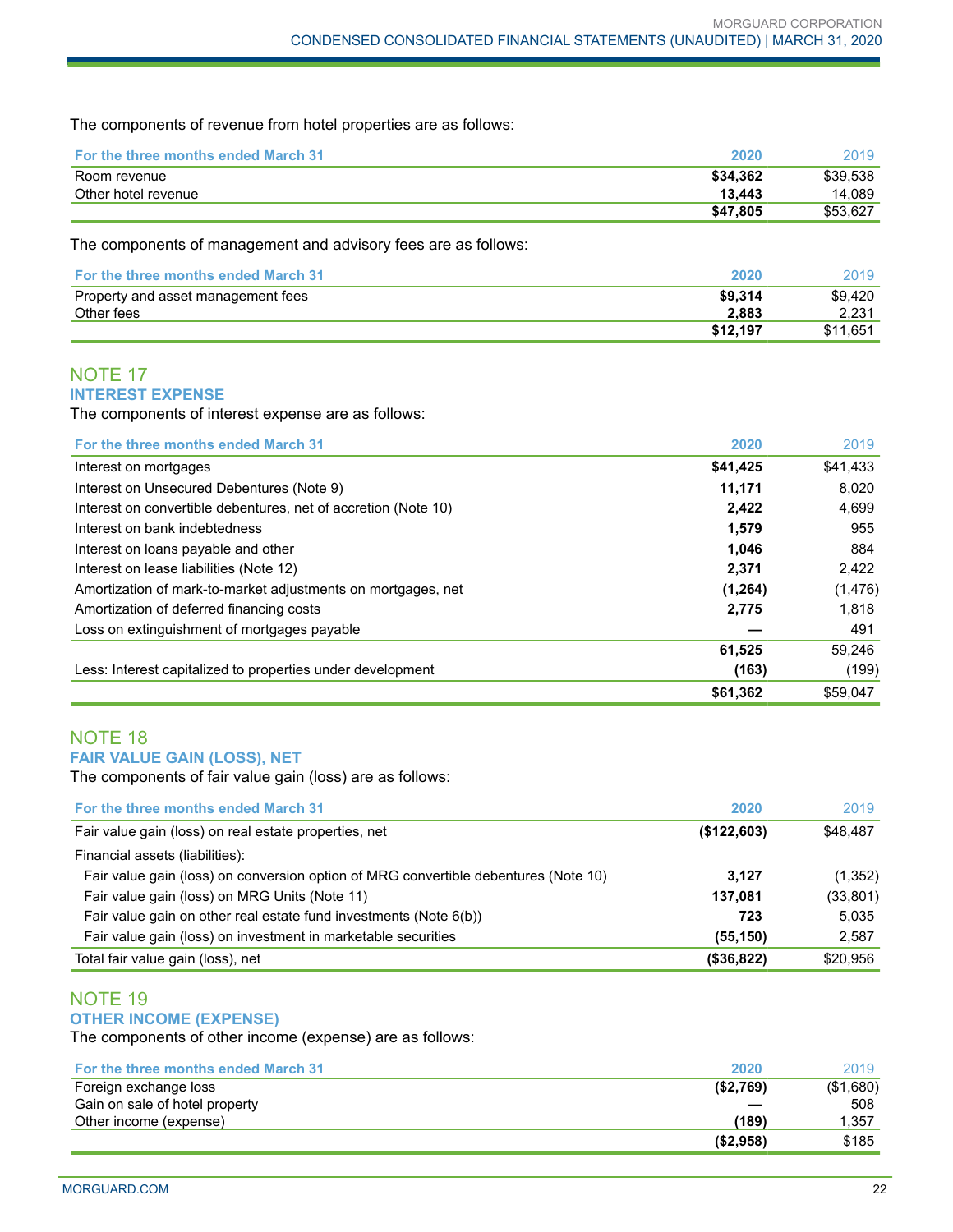The components of revenue from hotel properties are as follows:

| <b>For the three months ended March 31</b> | 2020     | 2019     |
|--------------------------------------------|----------|----------|
| Room revenue                               | \$34.362 | \$39.538 |
| Other hotel revenue                        | 13.443   | 14.089   |
|                                            | \$47,805 | \$53.627 |

The components of management and advisory fees are as follows:

| <b>For the three months ended March 31</b> | 2020     | 2019     |
|--------------------------------------------|----------|----------|
| Property and asset management fees         | \$9.314  | \$9.420  |
| Other fees                                 | 2.883    | 2.231    |
|                                            | \$12.197 | \$11.651 |

## NOTE 17 **INTEREST EXPENSE**

The components of interest expense are as follows:

| For the three months ended March 31                            | 2020     | 2019     |
|----------------------------------------------------------------|----------|----------|
| Interest on mortgages                                          | \$41,425 | \$41,433 |
| Interest on Unsecured Debentures (Note 9)                      | 11,171   | 8.020    |
| Interest on convertible debentures, net of accretion (Note 10) | 2,422    | 4,699    |
| Interest on bank indebtedness                                  | 1,579    | 955      |
| Interest on loans payable and other                            | 1,046    | 884      |
| Interest on lease liabilities (Note 12)                        | 2,371    | 2.422    |
| Amortization of mark-to-market adjustments on mortgages, net   | (1, 264) | (1, 476) |
| Amortization of deferred financing costs                       | 2,775    | 1,818    |
| Loss on extinguishment of mortgages payable                    |          | 491      |
|                                                                | 61,525   | 59,246   |
| Less: Interest capitalized to properties under development     | (163)    | (199)    |
|                                                                | \$61,362 | \$59.047 |

## NOTE 18 **FAIR VALUE GAIN (LOSS), NET**

The components of fair value gain (loss) are as follows:

| For the three months ended March 31                                                 | 2020          | 2019      |
|-------------------------------------------------------------------------------------|---------------|-----------|
| Fair value gain (loss) on real estate properties, net                               | (\$122,603)   | \$48,487  |
| Financial assets (liabilities):                                                     |               |           |
| Fair value gain (loss) on conversion option of MRG convertible debentures (Note 10) | 3.127         | (1,352)   |
| Fair value gain (loss) on MRG Units (Note 11)                                       | 137,081       | (33, 801) |
| Fair value gain on other real estate fund investments (Note 6(b))                   | 723           | 5.035     |
| Fair value gain (loss) on investment in marketable securities                       | (55, 150)     | 2,587     |
| Total fair value gain (loss), net                                                   | $($ \$36,822) | \$20,956  |

## NOTE 19 **OTHER INCOME (EXPENSE)**

The components of other income (expense) are as follows:

| For the three months ended March 31 | 2020       | 2019      |
|-------------------------------------|------------|-----------|
| Foreign exchange loss               | (S2,769)   | (\$1,680) |
| Gain on sale of hotel property      |            | 508       |
| Other income (expense)              | (189)      | 1,357     |
|                                     | ( \$2,958) | \$185     |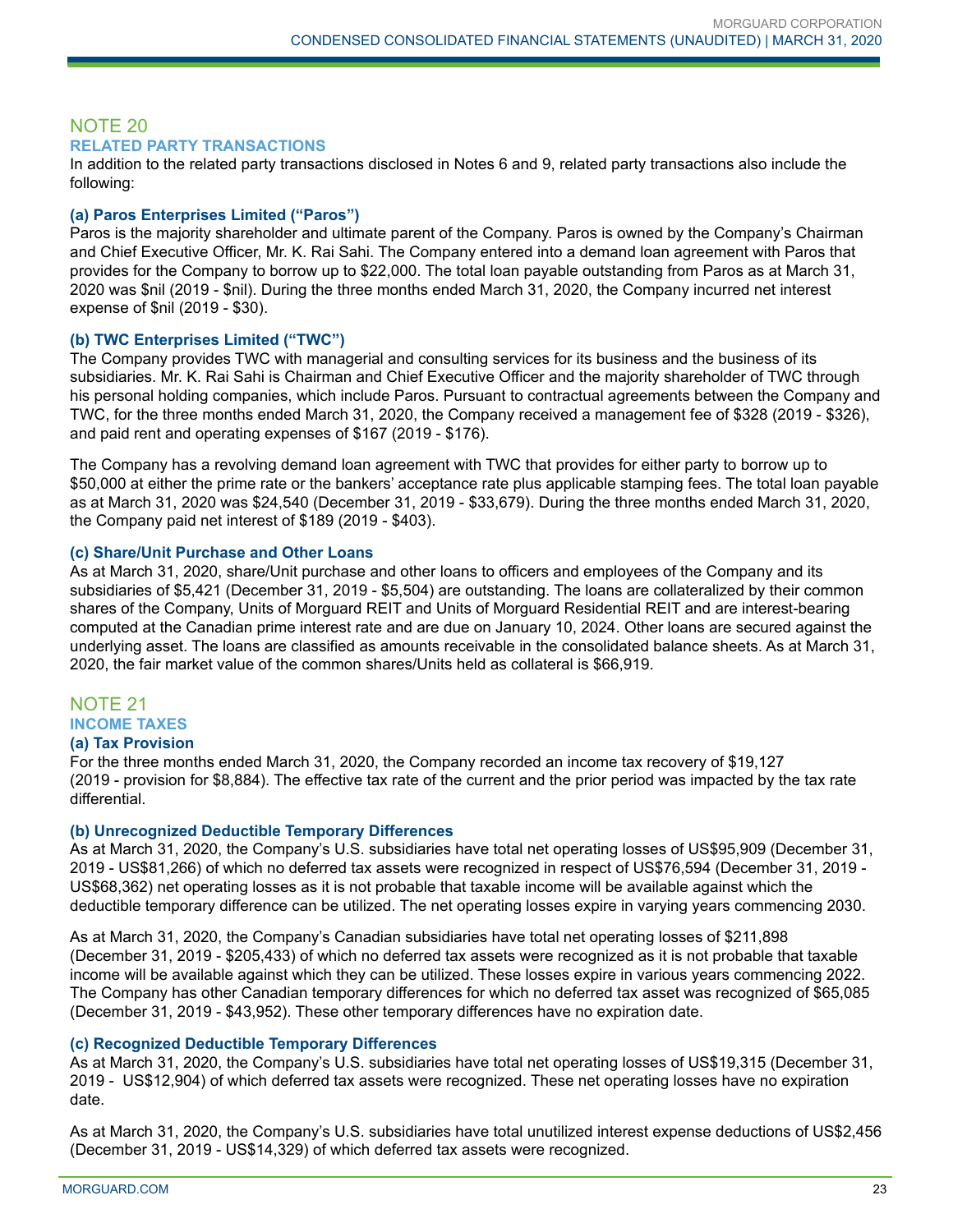## NOTE 20 **RELATED PARTY TRANSACTIONS**

In addition to the related party transactions disclosed in Notes 6 and 9, related party transactions also include the following:

## **(a) Paros Enterprises Limited ("Paros")**

Paros is the majority shareholder and ultimate parent of the Company. Paros is owned by the Company's Chairman and Chief Executive Officer, Mr. K. Rai Sahi. The Company entered into a demand loan agreement with Paros that provides for the Company to borrow up to \$22,000. The total loan payable outstanding from Paros as at March 31, 2020 was \$nil (2019 - \$nil). During the three months ended March 31, 2020, the Company incurred net interest expense of \$nil (2019 - \$30).

## **(b) TWC Enterprises Limited ("TWC")**

The Company provides TWC with managerial and consulting services for its business and the business of its subsidiaries. Mr. K. Rai Sahi is Chairman and Chief Executive Officer and the majority shareholder of TWC through his personal holding companies, which include Paros. Pursuant to contractual agreements between the Company and TWC, for the three months ended March 31, 2020, the Company received a management fee of \$328 (2019 - \$326), and paid rent and operating expenses of \$167 (2019 - \$176).

The Company has a revolving demand loan agreement with TWC that provides for either party to borrow up to \$50,000 at either the prime rate or the bankers' acceptance rate plus applicable stamping fees. The total loan payable as at March 31, 2020 was \$24,540 (December 31, 2019 - \$33,679). During the three months ended March 31, 2020, the Company paid net interest of \$189 (2019 - \$403).

## **(c) Share/Unit Purchase and Other Loans**

As at March 31, 2020, share/Unit purchase and other loans to officers and employees of the Company and its subsidiaries of \$5,421 (December 31, 2019 - \$5,504) are outstanding. The loans are collateralized by their common shares of the Company, Units of Morguard REIT and Units of Morguard Residential REIT and are interest-bearing computed at the Canadian prime interest rate and are due on January 10, 2024. Other loans are secured against the underlying asset. The loans are classified as amounts receivable in the consolidated balance sheets. As at March 31, 2020, the fair market value of the common shares/Units held as collateral is \$66,919.

## NOTE 21 **INCOME TAXES**

## **(a) Tax Provision**

For the three months ended March 31, 2020, the Company recorded an income tax recovery of \$19,127 (2019 - provision for \$8,884). The effective tax rate of the current and the prior period was impacted by the tax rate differential.

## **(b) Unrecognized Deductible Temporary Differences**

As at March 31, 2020, the Company's U.S. subsidiaries have total net operating losses of US\$95,909 (December 31, 2019 - US\$81,266) of which no deferred tax assets were recognized in respect of US\$76,594 (December 31, 2019 - US\$68,362) net operating losses as it is not probable that taxable income will be available against which the deductible temporary difference can be utilized. The net operating losses expire in varying years commencing 2030.

As at March 31, 2020, the Company's Canadian subsidiaries have total net operating losses of \$211,898 (December 31, 2019 - \$205,433) of which no deferred tax assets were recognized as it is not probable that taxable income will be available against which they can be utilized. These losses expire in various years commencing 2022. The Company has other Canadian temporary differences for which no deferred tax asset was recognized of \$65,085 (December 31, 2019 - \$43,952). These other temporary differences have no expiration date.

## **(c) Recognized Deductible Temporary Differences**

As at March 31, 2020, the Company's U.S. subsidiaries have total net operating losses of US\$19,315 (December 31, 2019 - US\$12,904) of which deferred tax assets were recognized. These net operating losses have no expiration date.

As at March 31, 2020, the Company's U.S. subsidiaries have total unutilized interest expense deductions of US\$2,456 (December 31, 2019 - US\$14,329) of which deferred tax assets were recognized.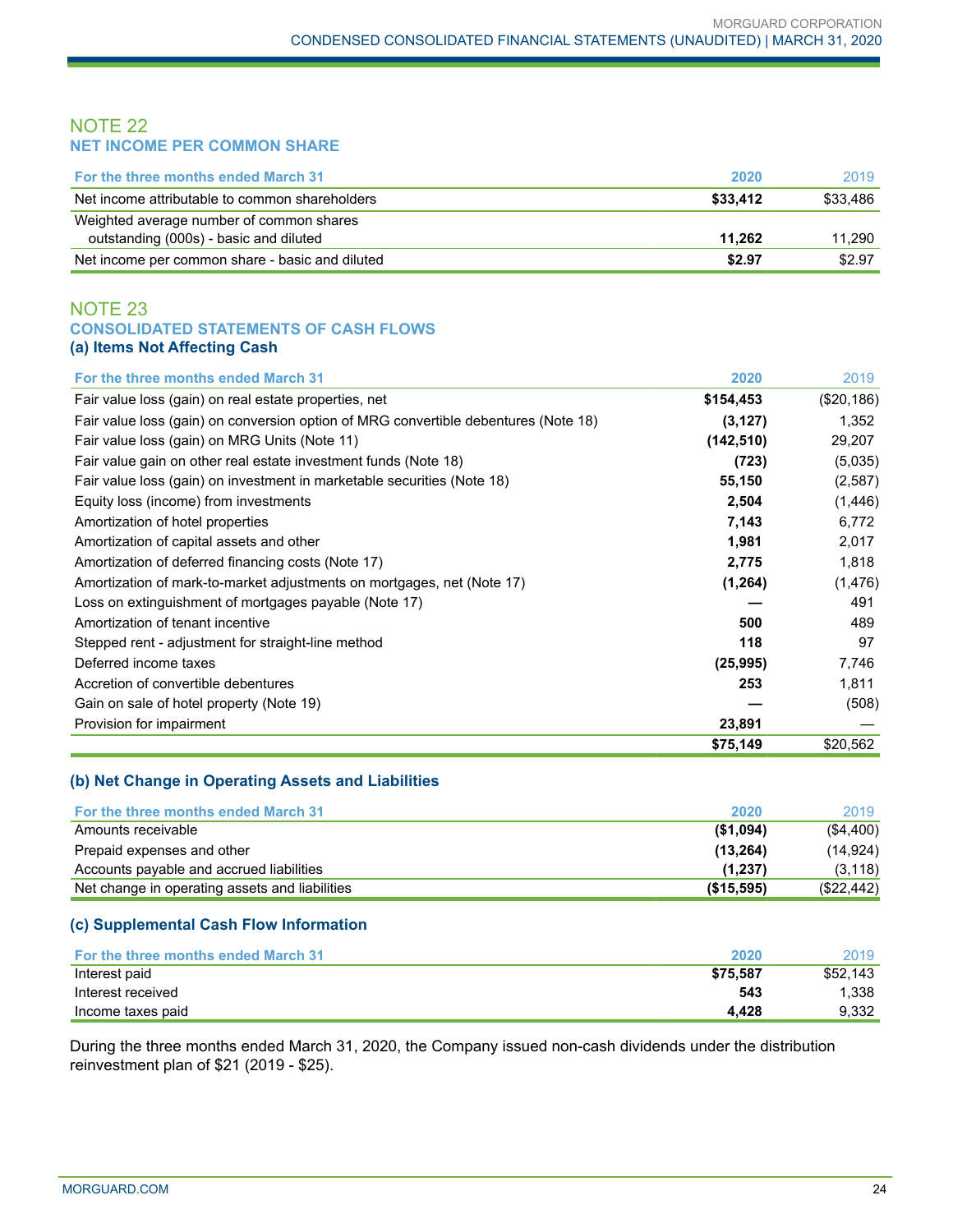## NOTE 22 **NET INCOME PER COMMON SHARE**

| <b>For the three months ended March 31</b>      | 2020     | 2019     |
|-------------------------------------------------|----------|----------|
| Net income attributable to common shareholders  | \$33,412 | \$33.486 |
| Weighted average number of common shares        |          |          |
| outstanding (000s) - basic and diluted          | 11.262   | 11.290   |
| Net income per common share - basic and diluted | \$2.97   | \$2.97   |

## NOTE 23 **CONSOLIDATED STATEMENTS OF CASH FLOWS (a) Items Not Affecting Cash**

| For the three months ended March 31                                                 | 2020       | 2019       |
|-------------------------------------------------------------------------------------|------------|------------|
| Fair value loss (gain) on real estate properties, net                               | \$154,453  | (\$20,186) |
| Fair value loss (gain) on conversion option of MRG convertible debentures (Note 18) | (3, 127)   | 1,352      |
| Fair value loss (gain) on MRG Units (Note 11)                                       | (142, 510) | 29,207     |
| Fair value gain on other real estate investment funds (Note 18)                     | (723)      | (5,035)    |
| Fair value loss (gain) on investment in marketable securities (Note 18)             | 55,150     | (2,587)    |
| Equity loss (income) from investments                                               | 2,504      | (1,446)    |
| Amortization of hotel properties                                                    | 7,143      | 6,772      |
| Amortization of capital assets and other                                            | 1,981      | 2,017      |
| Amortization of deferred financing costs (Note 17)                                  | 2,775      | 1,818      |
| Amortization of mark-to-market adjustments on mortgages, net (Note 17)              | (1, 264)   | (1, 476)   |
| Loss on extinguishment of mortgages payable (Note 17)                               |            | 491        |
| Amortization of tenant incentive                                                    | 500        | 489        |
| Stepped rent - adjustment for straight-line method                                  | 118        | 97         |
| Deferred income taxes                                                               | (25, 995)  | 7,746      |
| Accretion of convertible debentures                                                 | 253        | 1,811      |
| Gain on sale of hotel property (Note 19)                                            |            | (508)      |
| Provision for impairment                                                            | 23,891     |            |
|                                                                                     | \$75,149   | \$20,562   |

## **(b) Net Change in Operating Assets and Liabilities**

| For the three months ended March 31            | 2020       | 2019       |
|------------------------------------------------|------------|------------|
| Amounts receivable                             | ( \$1,094) | (\$4,400)  |
| Prepaid expenses and other                     | (13, 264)  | (14.924)   |
| Accounts payable and accrued liabilities       | (1.237)    | (3, 118)   |
| Net change in operating assets and liabilities | (\$15,595) | (\$22,442) |

## **(c) Supplemental Cash Flow Information**

| <b>For the three months ended March 31</b> | 2020     | 2019     |
|--------------------------------------------|----------|----------|
| Interest paid                              | \$75.587 | \$52,143 |
| Interest received                          | 543      | 1.338    |
| Income taxes paid                          | 4.428    | 9.332    |

During the three months ended March 31, 2020, the Company issued non-cash dividends under the distribution reinvestment plan of \$21 (2019 - \$25).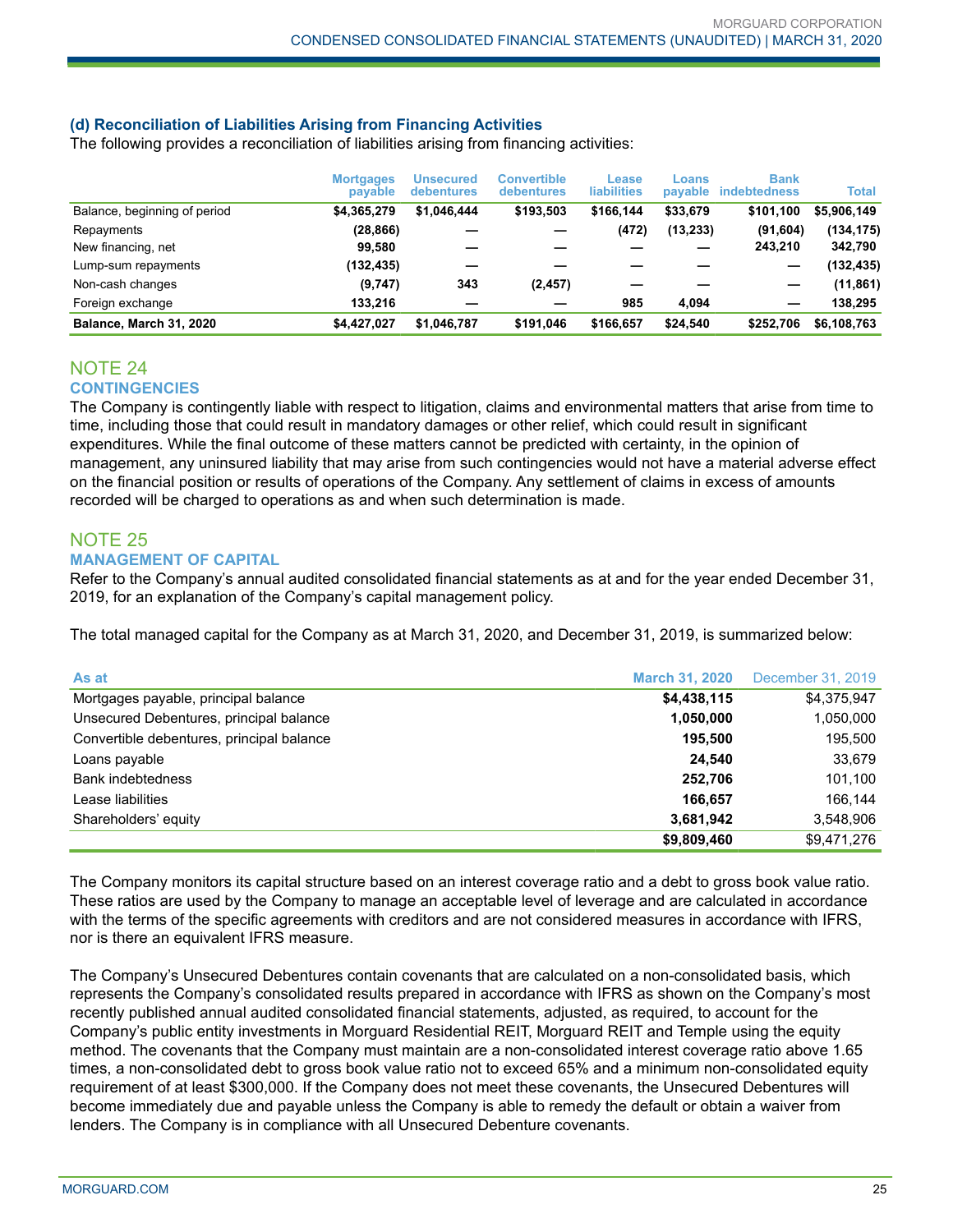## **(d) Reconciliation of Liabilities Arising from Financing Activities**

The following provides a reconciliation of liabilities arising from financing activities:

|                              | <b>Mortgages</b><br>payable | Unsecured<br>debentures | <b>Convertible</b><br><b>debentures</b> | Lease<br><b>liabilities</b> | Loans<br>payable | <b>Bank</b><br><b>indebtedness</b> | Total       |
|------------------------------|-----------------------------|-------------------------|-----------------------------------------|-----------------------------|------------------|------------------------------------|-------------|
| Balance, beginning of period | \$4,365,279                 | \$1,046,444             | \$193,503                               | \$166.144                   | \$33,679         | \$101,100                          | \$5,906,149 |
| Repayments                   | (28, 866)                   |                         |                                         | (472)                       | (13, 233)        | (91, 604)                          | (134, 175)  |
| New financing, net           | 99,580                      |                         |                                         |                             |                  | 243.210                            | 342,790     |
| Lump-sum repayments          | (132,435)                   |                         |                                         |                             |                  |                                    | (132, 435)  |
| Non-cash changes             | (9,747)                     | 343                     | (2, 457)                                |                             |                  |                                    | (11, 861)   |
| Foreign exchange             | 133.216                     |                         |                                         | 985                         | 4.094            | -                                  | 138.295     |
| Balance, March 31, 2020      | \$4.427.027                 | \$1.046.787             | \$191.046                               | \$166.657                   | \$24.540         | \$252.706                          | \$6,108,763 |

## NOTE 24 **CONTINGENCIES**

The Company is contingently liable with respect to litigation, claims and environmental matters that arise from time to time, including those that could result in mandatory damages or other relief, which could result in significant expenditures. While the final outcome of these matters cannot be predicted with certainty, in the opinion of management, any uninsured liability that may arise from such contingencies would not have a material adverse effect on the financial position or results of operations of the Company. Any settlement of claims in excess of amounts recorded will be charged to operations as and when such determination is made.

#### NOTE 25 **MANAGEMENT OF CAPITAL**

Refer to the Company's annual audited consolidated financial statements as at and for the year ended December 31, 2019, for an explanation of the Company's capital management policy.

The total managed capital for the Company as at March 31, 2020, and December 31, 2019, is summarized below:

| As at                                     | <b>March 31, 2020</b> | December 31, 2019 |
|-------------------------------------------|-----------------------|-------------------|
| Mortgages payable, principal balance      | \$4,438,115           | \$4,375,947       |
| Unsecured Debentures, principal balance   | 1,050,000             | 1,050,000         |
| Convertible debentures, principal balance | 195.500               | 195,500           |
| Loans payable                             | 24.540                | 33,679            |
| <b>Bank indebtedness</b>                  | 252,706               | 101,100           |
| Lease liabilities                         | 166.657               | 166,144           |
| Shareholders' equity                      | 3,681,942             | 3,548,906         |
|                                           | \$9,809,460           | \$9,471,276       |

The Company monitors its capital structure based on an interest coverage ratio and a debt to gross book value ratio. These ratios are used by the Company to manage an acceptable level of leverage and are calculated in accordance with the terms of the specific agreements with creditors and are not considered measures in accordance with IFRS, nor is there an equivalent IFRS measure.

The Company's Unsecured Debentures contain covenants that are calculated on a non-consolidated basis, which represents the Company's consolidated results prepared in accordance with IFRS as shown on the Company's most recently published annual audited consolidated financial statements, adjusted, as required, to account for the Company's public entity investments in Morguard Residential REIT, Morguard REIT and Temple using the equity method. The covenants that the Company must maintain are a non-consolidated interest coverage ratio above 1.65 times, a non-consolidated debt to gross book value ratio not to exceed 65% and a minimum non-consolidated equity requirement of at least \$300,000. If the Company does not meet these covenants, the Unsecured Debentures will become immediately due and payable unless the Company is able to remedy the default or obtain a waiver from lenders. The Company is in compliance with all Unsecured Debenture covenants.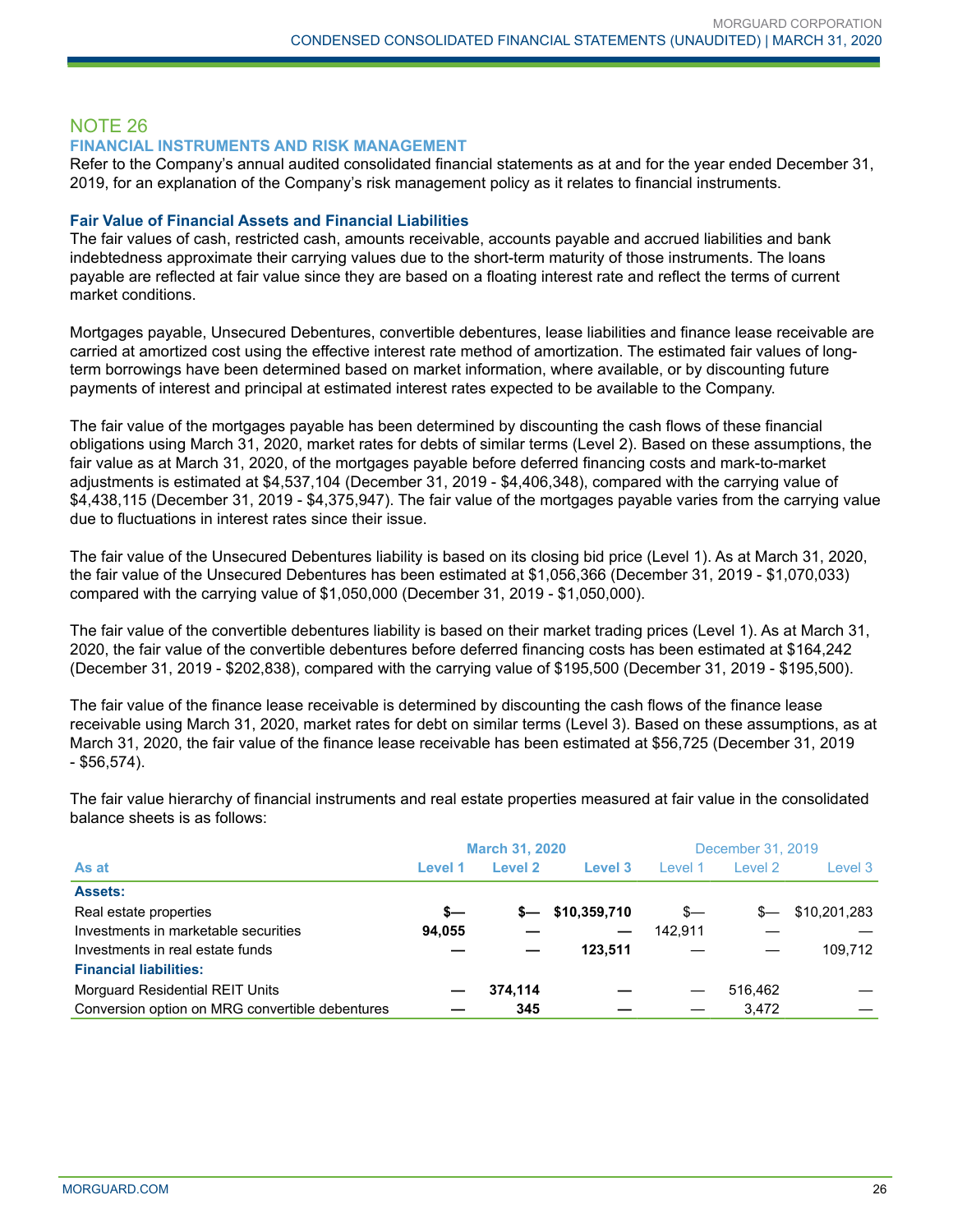# NOTE 26

## **FINANCIAL INSTRUMENTS AND RISK MANAGEMENT**

Refer to the Company's annual audited consolidated financial statements as at and for the year ended December 31, 2019, for an explanation of the Company's risk management policy as it relates to financial instruments.

## **Fair Value of Financial Assets and Financial Liabilities**

The fair values of cash, restricted cash, amounts receivable, accounts payable and accrued liabilities and bank indebtedness approximate their carrying values due to the short-term maturity of those instruments. The loans payable are reflected at fair value since they are based on a floating interest rate and reflect the terms of current market conditions.

Mortgages payable, Unsecured Debentures, convertible debentures, lease liabilities and finance lease receivable are carried at amortized cost using the effective interest rate method of amortization. The estimated fair values of longterm borrowings have been determined based on market information, where available, or by discounting future payments of interest and principal at estimated interest rates expected to be available to the Company.

The fair value of the mortgages payable has been determined by discounting the cash flows of these financial obligations using March 31, 2020, market rates for debts of similar terms (Level 2). Based on these assumptions, the fair value as at March 31, 2020, of the mortgages payable before deferred financing costs and mark-to-market adjustments is estimated at \$4,537,104 (December 31, 2019 - \$4,406,348), compared with the carrying value of \$4,438,115 (December 31, 2019 - \$4,375,947). The fair value of the mortgages payable varies from the carrying value due to fluctuations in interest rates since their issue.

The fair value of the Unsecured Debentures liability is based on its closing bid price (Level 1). As at March 31, 2020, the fair value of the Unsecured Debentures has been estimated at \$1,056,366 (December 31, 2019 - \$1,070,033) compared with the carrying value of \$1,050,000 (December 31, 2019 - \$1,050,000).

The fair value of the convertible debentures liability is based on their market trading prices (Level 1). As at March 31, 2020, the fair value of the convertible debentures before deferred financing costs has been estimated at \$164,242 (December 31, 2019 - \$202,838), compared with the carrying value of \$195,500 (December 31, 2019 - \$195,500).

The fair value of the finance lease receivable is determined by discounting the cash flows of the finance lease receivable using March 31, 2020, market rates for debt on similar terms (Level 3). Based on these assumptions, as at March 31, 2020, the fair value of the finance lease receivable has been estimated at \$56,725 (December 31, 2019 - \$56,574).

|                                                 | <b>March 31, 2020</b> |         |              | December 31, 2019 |         |              |
|-------------------------------------------------|-----------------------|---------|--------------|-------------------|---------|--------------|
| As at                                           | Level 1               | Level 2 | Level 3      | Level 1           | Level 2 | Level 3      |
| <b>Assets:</b>                                  |                       |         |              |                   |         |              |
| Real estate properties                          | s—                    | s—      | \$10,359,710 | $s-$              | $s-$    | \$10,201,283 |
| Investments in marketable securities            | 94,055                |         |              | 142.911           |         |              |
| Investments in real estate funds                |                       |         | 123.511      |                   |         | 109.712      |
| <b>Financial liabilities:</b>                   |                       |         |              |                   |         |              |
| Morguard Residential REIT Units                 |                       | 374.114 |              |                   | 516.462 |              |
| Conversion option on MRG convertible debentures |                       | 345     |              |                   | 3.472   |              |

The fair value hierarchy of financial instruments and real estate properties measured at fair value in the consolidated balance sheets is as follows: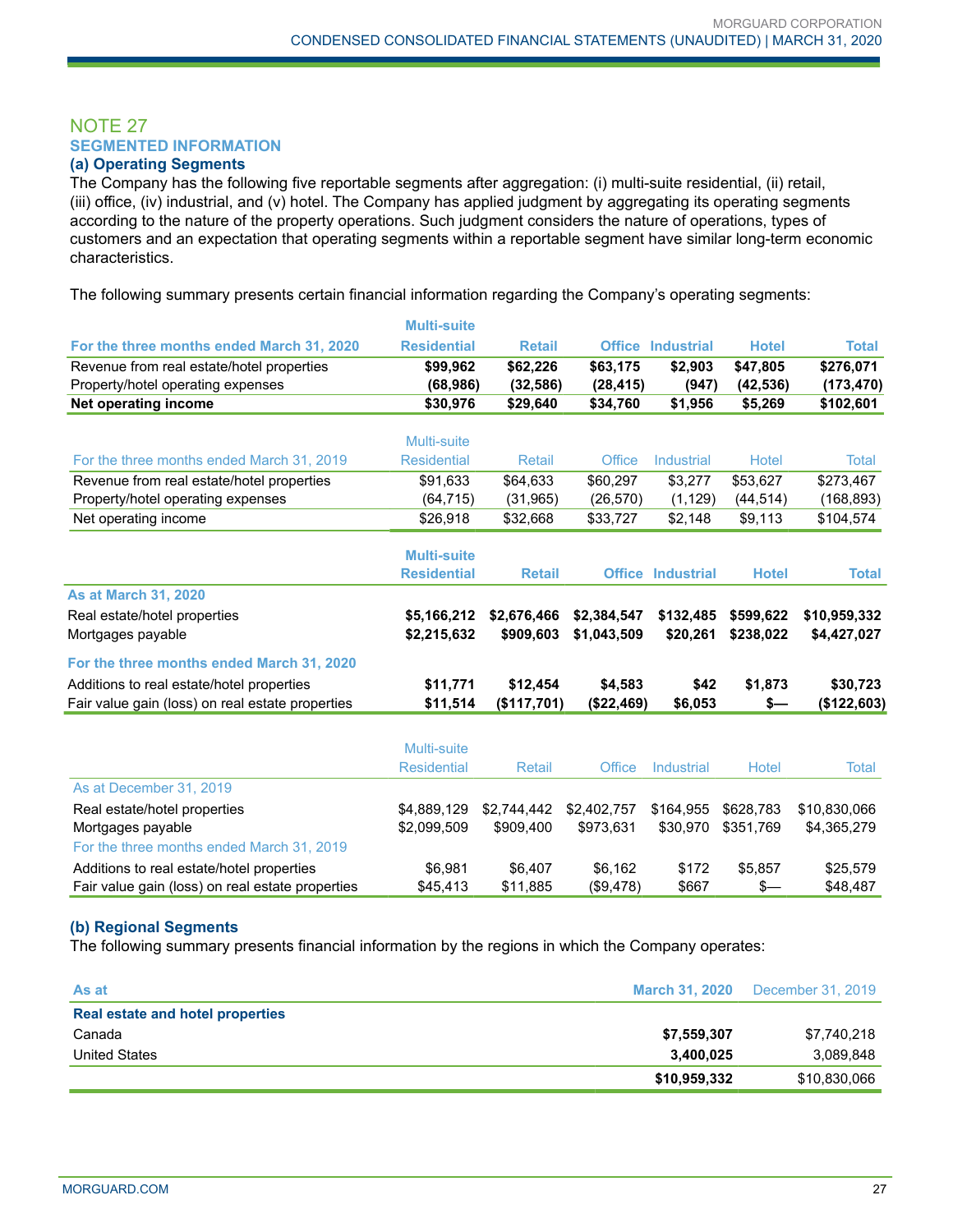## NOTE 27 **SEGMENTED INFORMATION**

## **(a) Operating Segments**

The Company has the following five reportable segments after aggregation: (i) multi-suite residential, (ii) retail, (iii) office, (iv) industrial, and (v) hotel. The Company has applied judgment by aggregating its operating segments according to the nature of the property operations. Such judgment considers the nature of operations, types of customers and an expectation that operating segments within a reportable segment have similar long-term economic characteristics.

The following summary presents certain financial information regarding the Company's operating segments:

|                                                  | <b>Multi-suite</b> |               |             |                          |              |              |
|--------------------------------------------------|--------------------|---------------|-------------|--------------------------|--------------|--------------|
| For the three months ended March 31, 2020        | <b>Residential</b> | <b>Retail</b> |             | <b>Office Industrial</b> | <b>Hotel</b> | <b>Total</b> |
| Revenue from real estate/hotel properties        | \$99,962           | \$62,226      | \$63,175    | \$2,903                  | \$47,805     | \$276,071    |
| Property/hotel operating expenses                | (68, 986)          | (32, 586)     | (28, 415)   | (947)                    | (42, 536)    | (173, 470)   |
| Net operating income                             | \$30,976           | \$29,640      | \$34,760    | \$1,956                  | \$5,269      | \$102,601    |
|                                                  | Multi-suite        |               |             |                          |              |              |
| For the three months ended March 31, 2019        | <b>Residential</b> | Retail        | Office      | <b>Industrial</b>        | Hotel        | Total        |
| Revenue from real estate/hotel properties        | \$91,633           | \$64,633      | \$60,297    | \$3,277                  | \$53,627     | \$273,467    |
| Property/hotel operating expenses                | (64, 715)          | (31, 965)     | (26, 570)   | (1, 129)                 | (44, 514)    | (168, 893)   |
| Net operating income                             | \$26,918           | \$32,668      | \$33,727    | \$2,148                  | \$9,113      | \$104,574    |
|                                                  | <b>Multi-suite</b> |               |             |                          |              |              |
|                                                  | <b>Residential</b> | <b>Retail</b> |             | <b>Office Industrial</b> | <b>Hotel</b> | <b>Total</b> |
| <b>As at March 31, 2020</b>                      |                    |               |             |                          |              |              |
| Real estate/hotel properties                     | \$5,166,212        | \$2,676,466   | \$2,384,547 | \$132,485                | \$599,622    | \$10,959,332 |
| Mortgages payable                                | \$2,215,632        | \$909,603     | \$1,043,509 | \$20,261                 | \$238,022    | \$4,427,027  |
| For the three months ended March 31, 2020        |                    |               |             |                          |              |              |
| Additions to real estate/hotel properties        | \$11,771           | \$12,454      | \$4,583     | \$42                     | \$1,873      | \$30,723     |
| Fair value gain (loss) on real estate properties | \$11,514           | (\$117,701)   | (\$22,469)  | \$6,053                  | \$—          | (\$122,603)  |
|                                                  |                    |               |             |                          |              |              |
|                                                  | Multi-suite        |               |             |                          |              |              |
|                                                  | <b>Residential</b> | <b>Retail</b> | Office      | Industrial               | Hotel        | <b>Total</b> |
| As at December 31, 2019                          |                    |               |             |                          |              |              |
| Real estate/hotel properties                     | \$4,889,129        | \$2.744.442   | \$2,402,757 | \$164.955                | \$628.783    | \$10,830,066 |
| Mortgages payable                                | \$2,099,509        | \$909,400     | \$973,631   | \$30,970                 | \$351,769    | \$4,365,279  |
| For the three months ended March 31, 2019        |                    |               |             |                          |              |              |
| Additions to real estate/hotel properties        | \$6,981            | \$6,407       | \$6,162     | \$172                    | \$5,857      | \$25,579     |
| Fair value gain (loss) on real estate properties | \$45,413           | \$11,885      | (\$9,478)   | \$667                    | $s-$         | \$48,487     |

## **(b) Regional Segments**

The following summary presents financial information by the regions in which the Company operates:

| As at                            | <b>March 31, 2020</b> | December 31, 2019 |
|----------------------------------|-----------------------|-------------------|
| Real estate and hotel properties |                       |                   |
| Canada                           | \$7,559,307           | \$7,740,218       |
| <b>United States</b>             | 3,400,025             | 3,089,848         |
|                                  | \$10,959,332          | \$10,830,066      |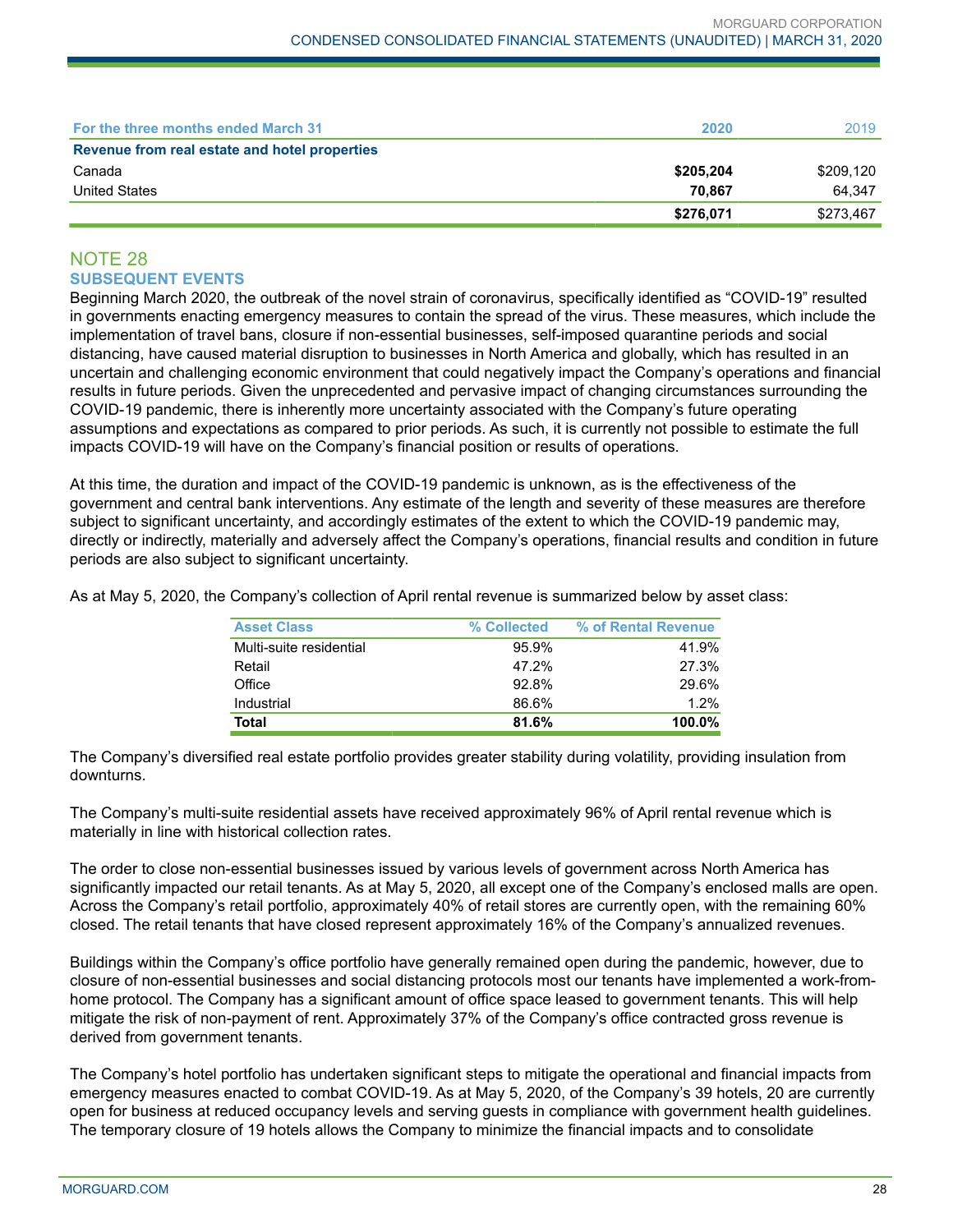| For the three months ended March 31           | 2020      | 2019      |
|-----------------------------------------------|-----------|-----------|
| Revenue from real estate and hotel properties |           |           |
| Canada                                        | \$205,204 | \$209,120 |
| <b>United States</b>                          | 70.867    | 64.347    |
|                                               | \$276,071 | \$273,467 |

## NOTE 28 **SUBSEQUENT EVENTS**

Beginning March 2020, the outbreak of the novel strain of coronavirus, specifically identified as "COVID-19" resulted in governments enacting emergency measures to contain the spread of the virus. These measures, which include the implementation of travel bans, closure if non-essential businesses, self-imposed quarantine periods and social distancing, have caused material disruption to businesses in North America and globally, which has resulted in an uncertain and challenging economic environment that could negatively impact the Company's operations and financial results in future periods. Given the unprecedented and pervasive impact of changing circumstances surrounding the COVID-19 pandemic, there is inherently more uncertainty associated with the Company's future operating assumptions and expectations as compared to prior periods. As such, it is currently not possible to estimate the full impacts COVID-19 will have on the Company's financial position or results of operations.

At this time, the duration and impact of the COVID-19 pandemic is unknown, as is the effectiveness of the government and central bank interventions. Any estimate of the length and severity of these measures are therefore subject to significant uncertainty, and accordingly estimates of the extent to which the COVID-19 pandemic may, directly or indirectly, materially and adversely affect the Company's operations, financial results and condition in future periods are also subject to significant uncertainty.

As at May 5, 2020, the Company's collection of April rental revenue is summarized below by asset class:

| <b>Asset Class</b>      | % Collected | % of Rental Revenue |
|-------------------------|-------------|---------------------|
| Multi-suite residential | 95.9%       | 41.9%               |
| Retail                  | 47.2%       | 27.3%               |
| Office                  | 92.8%       | 29.6%               |
| Industrial              | 86.6%       | 1.2%                |
| Total                   | 81.6%       | 100.0%              |

The Company's diversified real estate portfolio provides greater stability during volatility, providing insulation from downturns.

The Company's multi-suite residential assets have received approximately 96% of April rental revenue which is materially in line with historical collection rates.

The order to close non-essential businesses issued by various levels of government across North America has significantly impacted our retail tenants. As at May 5, 2020, all except one of the Company's enclosed malls are open. Across the Company's retail portfolio, approximately 40% of retail stores are currently open, with the remaining 60% closed. The retail tenants that have closed represent approximately 16% of the Company's annualized revenues.

Buildings within the Company's office portfolio have generally remained open during the pandemic, however, due to closure of non-essential businesses and social distancing protocols most our tenants have implemented a work-fromhome protocol. The Company has a significant amount of office space leased to government tenants. This will help mitigate the risk of non-payment of rent. Approximately 37% of the Company's office contracted gross revenue is derived from government tenants.

The Company's hotel portfolio has undertaken significant steps to mitigate the operational and financial impacts from emergency measures enacted to combat COVID-19. As at May 5, 2020, of the Company's 39 hotels, 20 are currently open for business at reduced occupancy levels and serving guests in compliance with government health guidelines. The temporary closure of 19 hotels allows the Company to minimize the financial impacts and to consolidate